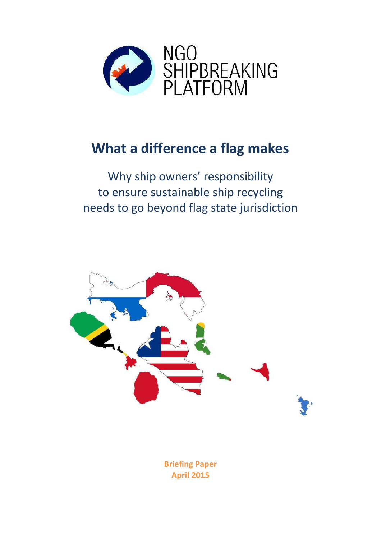

# **What a difference a flag makes**

Why ship owners' responsibility to ensure sustainable ship recycling needs to go beyond flag state jurisdiction



**Briefing Paper April 2015**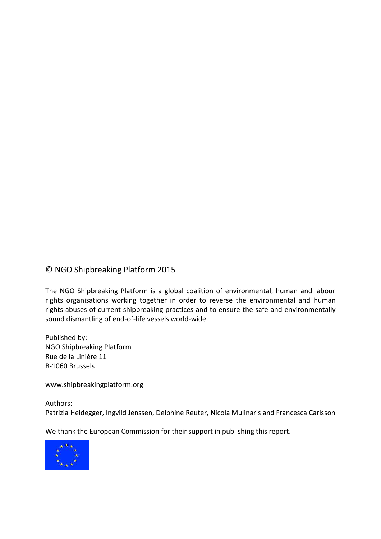### © NGO Shipbreaking Platform 2015

The NGO Shipbreaking Platform is a global coalition of environmental, human and labour rights organisations working together in order to reverse the environmental and human rights abuses of current shipbreaking practices and to ensure the safe and environmentally sound dismantling of end-of-life vessels world-wide.

Published by: NGO Shipbreaking Platform Rue de la Linière 11 B-1060 Brussels

www.shipbreakingplatform.org

Authors: Patrizia Heidegger, Ingvild Jenssen, Delphine Reuter, Nicola Mulinaris and Francesca Carlsson

We thank the European Commission for their support in publishing this report.

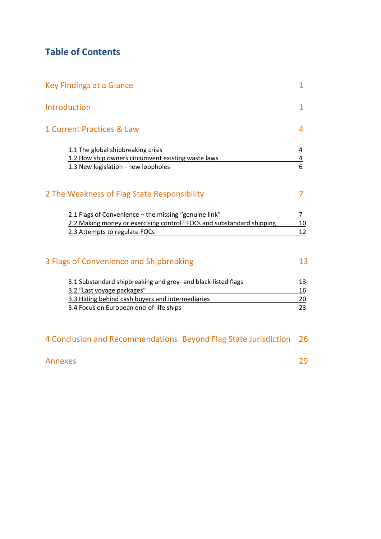## **Table of Contents**

| Key Findings at a Glance                                              |                         |
|-----------------------------------------------------------------------|-------------------------|
| Introduction                                                          |                         |
| 1 Current Practices & Law                                             |                         |
| 1.1 The global shipbreaking crisis                                    | 4                       |
| 1.2 How ship owners circumvent existing waste laws                    | $\overline{\mathbf{r}}$ |
| 1.3 New legislation - new loopholes                                   | 6                       |
| 2 The Weakness of Flag State Responsibility                           |                         |
| 2.1 Flags of Convenience - the missing "genuine link"                 | 7                       |
| 2.2 Making money or exercising control? FOCs and substandard shipping | 10                      |
| 2.3 Attempts to regulate FOCs                                         | 12                      |
|                                                                       |                         |
| 3 Flags of Convenience and Shipbreaking                               | 13                      |

| 3.1 Substandard shipbreaking and grey- and black-listed flags |    |
|---------------------------------------------------------------|----|
| 3.2 "Last voyage packages"                                    | 16 |
| 3.3 Hiding behind cash buyers and intermediaries              |    |
| 3.4 Focus on European end-of-life ships                       |    |

| 4 Conclusion and Recommendations: Beyond Flag State Jurisdiction 26 |  |  |
|---------------------------------------------------------------------|--|--|
|---------------------------------------------------------------------|--|--|

## Annexes 29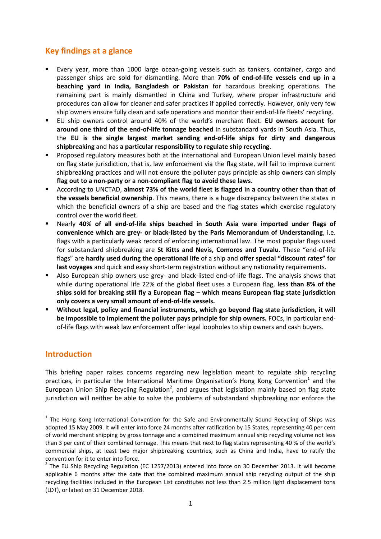## **Key findings at a glance**

- Every year, more than 1000 large ocean-going vessels such as tankers, container, cargo and passenger ships are sold for dismantling. More than **70% of end-of-life vessels end up in a beaching yard in India, Bangladesh or Pakistan** for hazardous breaking operations. The remaining part is mainly dismantled in China and Turkey, where proper infrastructure and procedures can allow for cleaner and safer practices if applied correctly. However, only very few ship owners ensure fully clean and safe operations and monitor their end-of-life fleets' recycling.
- EU ship owners control around 40% of the world's merchant fleet. **EU owners account for around one third of the end-of-life tonnage beached** in substandard yards in South Asia. Thus, the **EU is the single largest market sending end-of-life ships for dirty and dangerous shipbreaking** and has **a particular responsibility to regulate ship recycling**.
- Proposed regulatory measures both at the international and European Union level mainly based on flag state jurisdiction, that is, law enforcement via the flag state, will fail to improve current shipbreaking practices and will not ensure the polluter pays principle as ship owners can simply **flag out to a non-party or a non-compliant flag to avoid these laws**.
- According to UNCTAD, **almost 73% of the world fleet is flagged in a country other than that of the vessels beneficial ownership**. This means, there is a huge discrepancy between the states in which the beneficial owners of a ship are based and the flag states which exercise regulatory control over the world fleet.
- Nearly **40% of all end-of-life ships beached in South Asia were imported under flags of convenience which are grey- or black-listed by the Paris Memorandum of Understanding**, i.e. flags with a particularly weak record of enforcing international law. The most popular flags used for substandard shipbreaking are **St Kitts and Nevis, Comoros and Tuvalu**. These "end-of-life flags" are **hardly used during the operational life** of a ship and **offer special "discount rates" for last voyages** and quick and easy short-term registration without any nationality requirements.
- Also European ship owners use grey- and black-listed end-of-life flags. The analysis shows that while during operational life 22% of the global fleet uses a European flag, **less than 8% of the ships sold for breaking still fly a European flag – which means European flag state jurisdiction only covers a very small amount of end-of-life vessels.**
- **Without legal, policy and financial instruments, which go beyond flag state jurisdiction, it will be impossible to implement the polluter pays principle for ship owners.** FOCs, in particular endof-life flags with weak law enforcement offer legal loopholes to ship owners and cash buyers.

### **Introduction**

 $\ddot{\phantom{a}}$ 

This briefing paper raises concerns regarding new legislation meant to regulate ship recycling practices, in particular the International Maritime Organisation's Hong Kong Convention<sup>1</sup> and the European Union Ship Recycling Regulation<sup>2</sup>, and argues that legislation mainly based on flag state jurisdiction will neither be able to solve the problems of substandard shipbreaking nor enforce the

<sup>&</sup>lt;sup>1</sup> The Hong Kong International Convention for the Safe and Environmentally Sound Recycling of Ships was adopted 15 May 2009. It will enter into force 24 months after ratification by 15 States, representing 40 per cent of world merchant shipping by gross tonnage and a combined maximum annual ship recycling volume not less than 3 per cent of their combined tonnage. This means that next to flag states representing 40 % of the world's commercial ships, at least two major shipbreaking countries, such as China and India, have to ratify the convention for it to enter into force.

 $2$  The EU Ship Recycling Regulation (EC 1257/2013) entered into force on 30 December 2013. It will become applicable 6 months after the date that the combined maximum annual ship recycling output of the ship recycling facilities included in the European List constitutes not less than 2.5 million light displacement tons (LDT), or latest on 31 December 2018.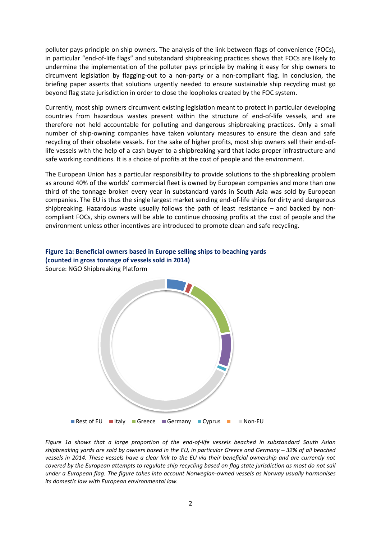polluter pays principle on ship owners. The analysis of the link between flags of convenience (FOCs), in particular "end-of-life flags" and substandard shipbreaking practices shows that FOCs are likely to undermine the implementation of the polluter pays principle by making it easy for ship owners to circumvent legislation by flagging-out to a non-party or a non-compliant flag. In conclusion, the briefing paper asserts that solutions urgently needed to ensure sustainable ship recycling must go beyond flag state jurisdiction in order to close the loopholes created by the FOC system.

Currently, most ship owners circumvent existing legislation meant to protect in particular developing countries from hazardous wastes present within the structure of end-of-life vessels, and are therefore not held accountable for polluting and dangerous shipbreaking practices. Only a small number of ship-owning companies have taken voluntary measures to ensure the clean and safe recycling of their obsolete vessels. For the sake of higher profits, most ship owners sell their end-oflife vessels with the help of a cash buyer to a shipbreaking yard that lacks proper infrastructure and safe working conditions. It is a choice of profits at the cost of people and the environment.

The European Union has a particular responsibility to provide solutions to the shipbreaking problem as around 40% of the worlds' commercial fleet is owned by European companies and more than one third of the tonnage broken every year in substandard yards in South Asia was sold by European companies. The EU is thus the single largest market sending end-of-life ships for dirty and dangerous shipbreaking. Hazardous waste usually follows the path of least resistance – and backed by noncompliant FOCs, ship owners will be able to continue choosing profits at the cost of people and the environment unless other incentives are introduced to promote clean and safe recycling.

## **Figure 1a: Beneficial owners based in Europe selling ships to beaching yards (counted in gross tonnage of vessels sold in 2014)**

Source: NGO Shipbreaking Platform



*Figure 1a shows that a large proportion of the end-of-life vessels beached in substandard South Asian shipbreaking yards are sold by owners based in the EU, in particular Greece and Germany – 32% of all beached vessels in 2014. These vessels have a clear link to the EU via their beneficial ownership and are currently not covered by the European attempts to regulate ship recycling based on flag state jurisdiction as most do not sail under a European flag. The figure takes into account Norwegian-owned vessels as Norway usually harmonises its domestic law with European environmental law.*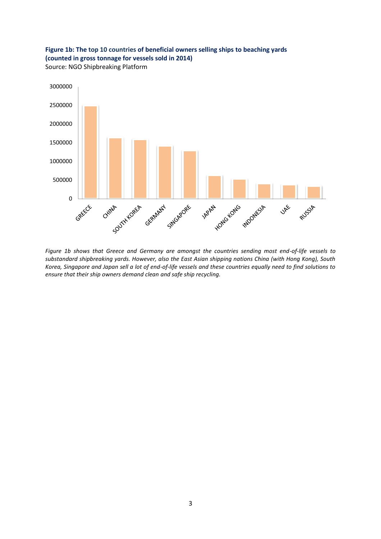

Source: NGO Shipbreaking Platform



*Figure 1b shows that Greece and Germany are amongst the countries sending most end-of-life vessels to substandard shipbreaking yards. However, also the East Asian shipping nations China (with Hong Kong), South Korea, Singapore and Japan sell a lot of end-of-life vessels and these countries equally need to find solutions to ensure that their ship owners demand clean and safe ship recycling.*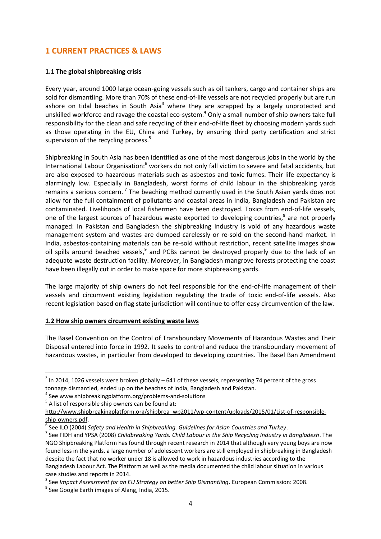### **1 CURRENT PRACTICES & LAWS**

#### **1.1 The global shipbreaking crisis**

Every year, around 1000 large ocean-going vessels such as oil tankers, cargo and container ships are sold for dismantling. More than 70% of these end-of-life vessels are not recycled properly but are run ashore on tidal beaches in South Asia<sup>3</sup> where they are scrapped by a largely unprotected and unskilled workforce and ravage the coastal eco-system.<sup>4</sup> Only a small number of ship owners take full responsibility for the clean and safe recycling of their end-of-life fleet by choosing modern yards such as those operating in the EU, China and Turkey, by ensuring third party certification and strict supervision of the recycling process. 5

Shipbreaking in South Asia has been identified as one of the most dangerous jobs in the world by the International Labour Organisation:<sup>6</sup> workers do not only fall victim to severe and fatal accidents, but are also exposed to hazardous materials such as asbestos and toxic fumes. Their life expectancy is alarmingly low. Especially in Bangladesh, worst forms of child labour in the shipbreaking yards remains a serious concern.<sup>7</sup> The beaching method currently used in the South Asian yards does not allow for the full containment of pollutants and coastal areas in India, Bangladesh and Pakistan are contaminated. Livelihoods of local fishermen have been destroyed. Toxics from end-of-life vessels, one of the largest sources of hazardous waste exported to developing countries, 8 are not properly managed: in Pakistan and Bangladesh the shipbreaking industry is void of any hazardous waste management system and wastes are dumped carelessly or re-sold on the second-hand market. In India, asbestos-containing materials can be re-sold without restriction, recent satellite images show oil spills around beached vessels,<sup>9</sup> and PCBs cannot be destroyed properly due to the lack of an adequate waste destruction facility. Moreover, in Bangladesh mangrove forests protecting the coast have been illegally cut in order to make space for more shipbreaking yards.

The large majority of ship owners do not feel responsible for the end-of-life management of their vessels and circumvent existing legislation regulating the trade of toxic end-of-life vessels. Also recent legislation based on flag state jurisdiction will continue to offer easy circumvention of the law.

#### **1.2 How ship owners circumvent existing waste laws**

The Basel Convention on the Control of Transboundary Movements of Hazardous Wastes and Their Disposal entered into force in 1992. It seeks to control and reduce the transboundary movement of hazardous wastes, in particular from developed to developing countries. The Basel Ban Amendment

 $3$  In 2014, 1026 vessels were broken globally – 641 of these vessels, representing 74 percent of the gross tonnage dismantled, ended up on the beaches of India, Bangladesh and Pakistan.

<sup>&</sup>lt;sup>4</sup> See [www.shipbreakingplatform.org/problems-and-solutions](http://www.shipbreakingplatform.org/problems-and-solutions)

 $<sup>5</sup>$  A list of responsible ship owners can be found at:</sup>

[http://www.shipbreakingplatform.org/shipbrea\\_wp2011/wp-content/uploads/2015/01/List-of-responsible](http://www.shipbreakingplatform.org/shipbrea_wp2011/wp-content/uploads/2015/01/List-of-responsible-ship-owners.pdf)[ship-owners.pdf.](http://www.shipbreakingplatform.org/shipbrea_wp2011/wp-content/uploads/2015/01/List-of-responsible-ship-owners.pdf)

<sup>6</sup> See ILO (2004) *Safety and Health in Shipbreaking. Guidelines for Asian Countries and Turkey*.

<sup>7</sup> See FIDH and YPSA (2008) *Childbreaking Yards. Child Labour in the Ship Recycling Industry in Bangladesh*. The NGO Shipbreaking Platform has found through recent research in 2014 that although very young boys are now found less in the yards, a large number of adolescent workers are still employed in shipbreaking in Bangladesh despite the fact that no worker under 18 is allowed to work in hazardous industries according to the Bangladesh Labour Act. The Platform as well as the media documented the child labour situation in various case studies and reports in 2014.

<sup>8</sup> See *Impact Assessment for an EU Strategy on better Ship Dismantling*. European Commission: 2008.

<sup>&</sup>lt;sup>9</sup> See Google Earth images of Alang, India, 2015.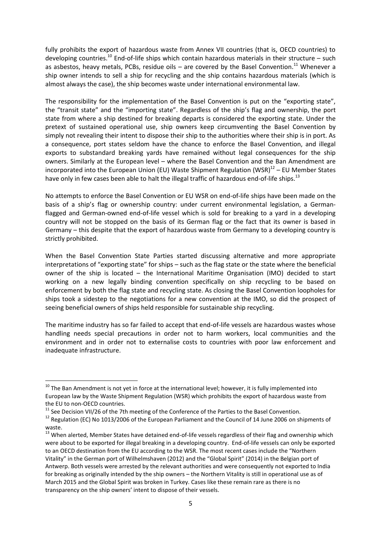fully prohibits the export of hazardous waste from Annex VII countries (that is, OECD countries) to developing countries.<sup>10</sup> End-of-life ships which contain hazardous materials in their structure – such as asbestos, heavy metals, PCBs, residue oils – are covered by the Basel Convention.<sup>11</sup> Whenever a ship owner intends to sell a ship for recycling and the ship contains hazardous materials (which is almost always the case), the ship becomes waste under international environmental law.

The responsibility for the implementation of the Basel Convention is put on the "exporting state", the "transit state" and the "importing state". Regardless of the ship's flag and ownership, the port state from where a ship destined for breaking departs is considered the exporting state. Under the pretext of sustained operational use, ship owners keep circumventing the Basel Convention by simply not revealing their intent to dispose their ship to the authorities where their ship is in port. As a consequence, port states seldom have the chance to enforce the Basel Convention, and illegal exports to substandard breaking yards have remained without legal consequences for the ship owners. Similarly at the European level – where the Basel Convention and the Ban Amendment are incorporated into the European Union (EU) Waste Shipment Regulation (WSR) $^{12}$  – EU Member States have only in few cases been able to halt the illegal traffic of hazardous end-of-life ships.<sup>13</sup>

No attempts to enforce the Basel Convention or EU WSR on end-of-life ships have been made on the basis of a ship's flag or ownership country: under current environmental legislation, a Germanflagged and German-owned end-of-life vessel which is sold for breaking to a yard in a developing country will not be stopped on the basis of its German flag or the fact that its owner is based in Germany – this despite that the export of hazardous waste from Germany to a developing country is strictly prohibited.

When the Basel Convention State Parties started discussing alternative and more appropriate interpretations of "exporting state" for ships – such as the flag state or the state where the beneficial owner of the ship is located – the International Maritime Organisation (IMO) decided to start working on a new legally binding convention specifically on ship recycling to be based on enforcement by both the flag state and recycling state. As closing the Basel Convention loopholes for ships took a sidestep to the negotiations for a new convention at the IMO, so did the prospect of seeing beneficial owners of ships held responsible for sustainable ship recycling.

The maritime industry has so far failed to accept that end-of-life vessels are hazardous wastes whose handling needs special precautions in order not to harm workers, local communities and the environment and in order not to externalise costs to countries with poor law enforcement and inadequate infrastructure.

 $10$  The Ban Amendment is not yet in force at the international level; however, it is fully implemented into European law by the Waste Shipment Regulation (WSR) which prohibits the export of hazardous waste from the EU to non-OECD countries.

<sup>&</sup>lt;sup>11</sup> See Decision VII/26 of the 7th meeting of the Conference of the Parties to the Basel Convention.

<sup>&</sup>lt;sup>12</sup> Regulation (EC) No 1013/2006 of the European Parliament and the Council of 14 June 2006 on shipments of [waste.](http://eur-lex.europa.eu/legal-content/EN/AUTO/?uri=celex:32006R1013)

<sup>13</sup> When alerted, Member States have detained end-of-life vessels regardless of their flag and ownership which were about to be exported for illegal breaking in a developing country. End-of-life vessels can only be exported to an OECD destination from the EU according to the WSR. The most recent cases include the "Northern Vitality" in the German port of Wilhelmshaven (2012) and the "Global Spirit" (2014) in the Belgian port of Antwerp. Both vessels were arrested by the relevant authorities and were consequently not exported to India for breaking as originally intended by the ship owners – the Northern Vitality is still in operational use as of March 2015 and the Global Spirit was broken in Turkey. Cases like these remain rare as there is no transparency on the ship owners' intent to dispose of their vessels.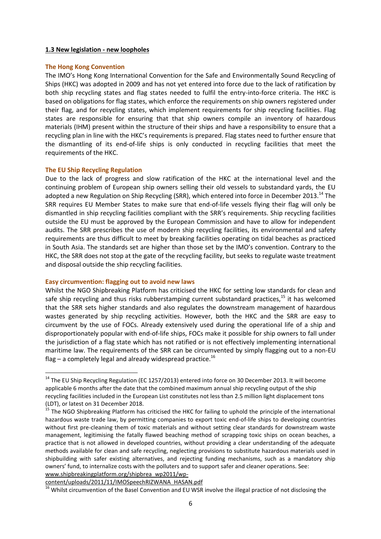#### **1.3 New legislation - new loopholes**

#### **The Hong Kong Convention**

The IMO's Hong Kong International Convention for the Safe and Environmentally Sound Recycling of Ships (HKC) was adopted in 2009 and has not yet entered into force due to the lack of ratification by both ship recycling states and flag states needed to fulfil the entry-into-force criteria. The HKC is based on obligations for flag states, which enforce the requirements on ship owners registered under their flag, and for recycling states, which implement requirements for ship recycling facilities. Flag states are responsible for ensuring that that ship owners compile an inventory of hazardous materials (IHM) present within the structure of their ships and have a responsibility to ensure that a recycling plan in line with the HKC's requirements is prepared. Flag states need to further ensure that the dismantling of its end-of-life ships is only conducted in recycling facilities that meet the requirements of the HKC.

#### **The EU Ship Recycling Regulation**

 $\ddot{\phantom{a}}$ 

Due to the lack of progress and slow ratification of the HKC at the international level and the continuing problem of European ship owners selling their old vessels to substandard yards, the EU adopted a new Regulation on Ship Recycling (SRR), which entered into force in December 2013.<sup>14</sup> The SRR requires EU Member States to make sure that end-of-life vessels flying their flag will only be dismantled in ship recycling facilities compliant with the SRR's requirements. Ship recycling facilities outside the EU must be approved by the European Commission and have to allow for independent audits. The SRR prescribes the use of modern ship recycling facilities, its environmental and safety requirements are thus difficult to meet by breaking facilities operating on tidal beaches as practiced in South Asia. The standards set are higher than those set by the IMO's convention. Contrary to the HKC, the SRR does not stop at the gate of the recycling facility, but seeks to regulate waste treatment and disposal outside the ship recycling facilities.

#### **Easy circumvention: flagging out to avoid new laws**

Whilst the NGO Shipbreaking Platform has criticised the HKC for setting low standards for clean and safe ship recycling and thus risks rubberstamping current substandard practices, $^{15}$  it has welcomed that the SRR sets higher standards and also regulates the downstream management of hazardous wastes generated by ship recycling activities. However, both the HKC and the SRR are easy to circumvent by the use of FOCs. Already extensively used during the operational life of a ship and disproportionately popular with end-of-life ships, FOCs make it possible for ship owners to fall under the jurisdiction of a flag state which has not ratified or is not effectively implementing international maritime law. The requirements of the SRR can be circumvented by simply flagging out to a non-EU flag – a completely legal and already widespread practice.<sup>16</sup>

[content/uploads/2011/11/IMOSpeechRIZWANA\\_HASAN.pdf](http://www.shipbreakingplatform.org/shipbrea_wp2011/wp-content/uploads/2011/11/IMOSpeechRIZWANA_HASAN.pdf)

<sup>&</sup>lt;sup>14</sup> The EU Ship Recycling Regulation (EC 1257/2013) entered into force on 30 December 2013. It will become applicable 6 months after the date that the combined maximum annual ship recycling output of the ship recycling facilities included in the European List constitutes not less than 2.5 million light displacement tons (LDT), or latest on 31 December 2018.

<sup>&</sup>lt;sup>15</sup> The NGO Shipbreaking Platform has criticised the HKC for failing to uphold the principle of the international hazardous waste trade law, by permitting companies to export toxic end-of-life ships to developing countries without first pre-cleaning them of toxic materials and without setting clear standards for downstream waste management, legitimising the fatally flawed beaching method of scrapping toxic ships on ocean beaches, a practice that is not allowed in developed countries, without providing a clear understanding of the adequate methods available for clean and safe recycling, neglecting provisions to substitute hazardous materials used in shipbuilding with safer existing alternatives, and rejecting funding mechanisms, such as a mandatory ship owners' fund, to internalize costs with the polluters and to support safer and cleaner operations. See: [www.shipbreakingplatform.org/shipbrea\\_wp2011/wp-](http://www.shipbreakingplatform.org/shipbrea_wp2011/wp-content/uploads/2011/11/IMOSpeechRIZWANA_HASAN.pdf)

<sup>16</sup> Whilst circumvention of the Basel Convention and EU WSR involve the illegal practice of not disclosing the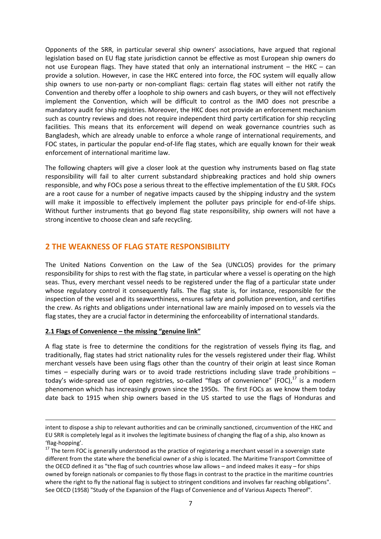Opponents of the SRR, in particular several ship owners' associations, have argued that regional legislation based on EU flag state jurisdiction cannot be effective as most European ship owners do not use European flags. They have stated that only an international instrument – the HKC – can provide a solution. However, in case the HKC entered into force, the FOC system will equally allow ship owners to use non-party or non-compliant flags: certain flag states will either not ratify the Convention and thereby offer a loophole to ship owners and cash buyers, or they will not effectively implement the Convention, which will be difficult to control as the IMO does not prescribe a mandatory audit for ship registries. Moreover, the HKC does not provide an enforcement mechanism such as country reviews and does not require independent third party certification for ship recycling facilities. This means that its enforcement will depend on weak governance countries such as Bangladesh, which are already unable to enforce a whole range of international requirements, and FOC states, in particular the popular end-of-life flag states, which are equally known for their weak enforcement of international maritime law.

The following chapters will give a closer look at the question why instruments based on flag state responsibility will fail to alter current substandard shipbreaking practices and hold ship owners responsible, and why FOCs pose a serious threat to the effective implementation of the EU SRR. FOCs are a root cause for a number of negative impacts caused by the shipping industry and the system will make it impossible to effectively implement the polluter pays principle for end-of-life ships. Without further instruments that go beyond flag state responsibility, ship owners will not have a strong incentive to choose clean and safe recycling.

#### **2 THE WEAKNESS OF FLAG STATE RESPONSIBILITY**

The United Nations Convention on the Law of the Sea (UNCLOS) provides for the primary responsibility for ships to rest with the flag state, in particular where a vessel is operating on the high seas. Thus, every merchant vessel needs to be registered under the flag of a particular state under whose regulatory control it consequently falls. The flag state is, for instance, responsible for the inspection of the vessel and its seaworthiness, ensures safety and pollution prevention, and certifies the crew. As rights and obligations under international law are mainly imposed on to vessels via the flag states, they are a crucial factor in determining the enforceability of international standards.

#### **2.1 Flags of Convenience – the missing "genuine link"**

**.** 

A flag state is free to determine the conditions for the registration of vessels flying its flag, and traditionally, flag states had strict nationality rules for the vessels registered under their flag. Whilst merchant vessels have been using flags other than the country of their origin at least since Roman times – especially during wars or to avoid trade restrictions including slave trade prohibitions – today's wide-spread use of open registries, so-called "flags of convenience" (FOC),<sup>17</sup> is a modern phenomenon which has increasingly grown since the 1950s. The first FOCs as we know them today date back to 1915 when ship owners based in the US started to use the flags of Honduras and

intent to dispose a ship to relevant authorities and can be criminally sanctioned, circumvention of the HKC and EU SRR is completely legal as it involves the legitimate business of changing the flag of a ship, also known as 'flag-hopping'.

<sup>&</sup>lt;sup>17</sup> The term FOC is generally understood as the practice of registering a merchant vessel in a sovereign state different from the state where the beneficial owner of a ship is located. The Maritime Transport Committee of the OECD defined it as "the flag of such countries whose law allows – and indeed makes it easy – for ships owned by foreign nationals or companies to fly those flags in contrast to the practice in the maritime countries where the right to fly the national flag is subject to stringent conditions and involves far reaching obligations". See OECD (1958) "Study of the Expansion of the Flags of Convenience and of Various Aspects Thereof".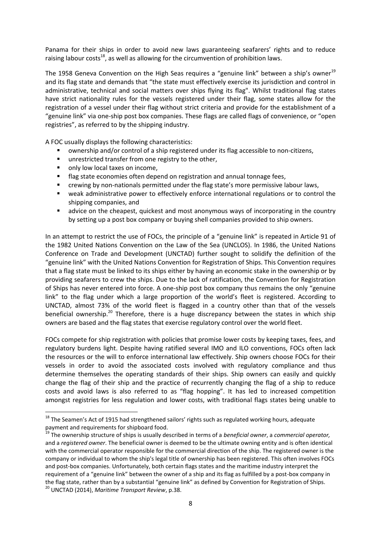Panama for their ships in order to avoid new laws guaranteeing seafarers' rights and to reduce raising labour costs<sup>18</sup>, as well as allowing for the circumvention of prohibition laws.

The 1958 Geneva Convention on the High Seas requires a "genuine link" between a ship's owner<sup>19</sup> and its flag state and demands that "the state must effectively exercise its jurisdiction and control in administrative, technical and social matters over ships flying its flag". Whilst traditional flag states have strict nationality rules for the vessels registered under their flag, some states allow for the registration of a vessel under their flag without strict criteria and provide for the establishment of a "genuine link" via one-ship post box companies. These flags are called flags of convenience, or "open registries", as referred to by the shipping industry.

A FOC usually displays the following characteristics:

- ownership and/or control of a ship registered under its flag accessible to non-citizens,
- **unrestricted transfer from one registry to the other,**
- only low local taxes on income,

 $\ddot{\phantom{a}}$ 

- **Fag state economies often depend on registration and annual tonnage fees,**
- crewing by non-nationals permitted under the flag state's more permissive labour laws,
- weak administrative power to effectively enforce international regulations or to control the shipping companies, and
- advice on the cheapest, quickest and most anonymous ways of incorporating in the country by setting up a post box company or buying shell companies provided to ship owners.

In an attempt to restrict the use of FOCs, the principle of a "genuine link" is repeated in Article 91 of the 1982 United Nations Convention on the Law of the Sea (UNCLOS). In 1986, the United Nations Conference on Trade and Development (UNCTAD) further sought to solidify the definition of the "genuine link" with the United Nations Convention for Registration of Ships. This Convention requires that a flag state must be linked to its ships either by having an economic stake in the ownership or by providing seafarers to crew the ships. Due to the lack of ratification, the Convention for Registration of Ships has never entered into force. A one-ship post box company thus remains the only "genuine link" to the flag under which a large proportion of the world's fleet is registered. According to UNCTAD, almost 73% of the world fleet is flagged in a country other than that of the vessels beneficial ownership.<sup>20</sup> Therefore, there is a huge discrepancy between the states in which ship owners are based and the flag states that exercise regulatory control over the world fleet.

FOCs compete for ship registration with policies that promise lower costs by keeping taxes, fees, and regulatory burdens light. Despite having ratified several IMO and ILO conventions, FOCs often lack the resources or the will to enforce international law effectively. Ship owners choose FOCs for their vessels in order to avoid the associated costs involved with regulatory compliance and thus determine themselves the operating standards of their ships. Ship owners can easily and quickly change the flag of their ship and the practice of recurrently changing the flag of a ship to reduce costs and avoid laws is also referred to as "flag hopping". It has led to increased competition amongst registries for less regulation and lower costs, with traditional flags states being unable to

 $^{18}$  The Seamen's Act of 1915 had strengthened sailors' rights such as regulated working hours, adequate payment and requirements for shipboard food.

<sup>19</sup> The ownership structure of ships is usually described in terms of a *beneficial owner*, a *commercial operator,* and a *registered owner*. The beneficial owner is deemed to be the ultimate owning entity and is often identical with the commercial operator responsible for the commercial direction of the ship. The registered owner is the company or individual to whom the ship's legal title of ownership has been registered. This often involves FOCs and post-box companies. Unfortunately, both certain flags states and the maritime industry interpret the requirement of a "genuine link" between the owner of a ship and its flag as fulfilled by a post-box company in the flag state, rather than by a substantial "genuine link" as defined by Convention for Registration of Ships. <sup>20</sup> UNCTAD (2014), *Maritime Transport Review*, p.38.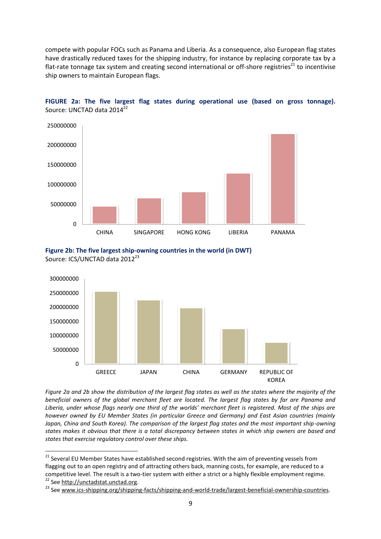compete with popular FOCs such as Panama and Liberia. As a consequence, also European flag states have drastically reduced taxes for the shipping industry, for instance by replacing corporate tax by a flat-rate tonnage tax system and creating second international or off-shore registries<sup>21</sup> to incentivise ship owners to maintain European flags.





**Figure 2b: The five largest ship-owning countries in the world (in DWT)** Source: ICS/UNCTAD data 2012<sup>23</sup>



*Figure 2a and 2b show the distribution of the largest flag states as well as the states where the majority of the beneficial owners of the global merchant fleet are located. The largest flag states by far are Panama and Liberia, under whose flags nearly one third of the worlds' merchant fleet is registered. Most of the ships are however owned by EU Member States (in particular Greece and Germany) and East Asian countries (mainly Japan, China and South Korea). The comparison of the largest flag states and the most important ship-owning states makes it obvious that there is a total discrepancy between states in which ship owners are based and states that exercise regulatory control over these ships.*

 $\overline{a}$ 

<sup>&</sup>lt;sup>21</sup> Several EU Member States have established second registries. With the aim of preventing vessels from flagging out to an open registry and of attracting others back, manning costs, for example, are reduced to a competitive level. The result is a two-tier system with either a strict or a highly flexible employment regime.

<sup>22</sup> Se[e http://unctadstat.unctad.org.](http://unctadstat.unctad.org/)

<sup>&</sup>lt;sup>23</sup> Se[e www.ics-shipping.org/shipping-facts/shipping-and-world-trade/largest-beneficial-ownership-countries.](http://www.ics-shipping.org/shipping-facts/shipping-and-world-trade/largest-beneficial-ownership-countries)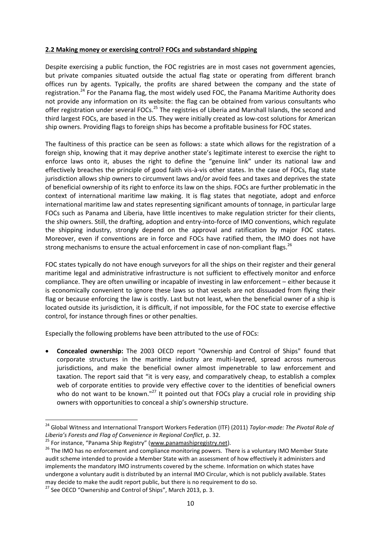#### **2.2 Making money or exercising control? FOCs and substandard shipping**

Despite exercising a public function, the FOC registries are in most cases not government agencies, but private companies situated outside the actual flag state or operating from different branch offices run by agents. Typically, the profits are shared between the company and the state of registration.<sup>24</sup> For the Panama flag, the most widely used FOC, the Panama Maritime Authority does not provide any information on its website: the flag can be obtained from various consultants who offer registration under several FOCs.<sup>25</sup> The registries of Liberia and Marshall Islands, the second and third largest FOCs, are based in the US. They were initially created as low-cost solutions for American ship owners. Providing flags to foreign ships has become a profitable business for FOC states.

The faultiness of this practice can be seen as follows: a state which allows for the registration of a foreign ship, knowing that it may deprive another state's legitimate interest to exercise the right to enforce laws onto it, abuses the right to define the "genuine link" under its national law and effectively breaches the principle of good faith vis-à-vis other states. In the case of FOCs, flag state jurisdiction allows ship owners to circumvent laws and/or avoid fees and taxes and deprives the state of beneficial ownership of its right to enforce its law on the ships. FOCs are further problematic in the context of international maritime law making. It is flag states that negotiate, adopt and enforce international maritime law and states representing significant amounts of tonnage, in particular large FOCs such as Panama and Liberia, have little incentives to make regulation stricter for their clients, the ship owners. Still, the drafting, adoption and entry-into-force of IMO conventions, which regulate the shipping industry, strongly depend on the approval and ratification by major FOC states. Moreover, even if conventions are in force and FOCs have ratified them, the IMO does not have strong mechanisms to ensure the actual enforcement in case of non-compliant flags.<sup>26</sup>

FOC states typically do not have enough surveyors for all the ships on their register and their general maritime legal and administrative infrastructure is not sufficient to effectively monitor and enforce compliance. They are often unwilling or incapable of investing in law enforcement – either because it is economically convenient to ignore these laws so that vessels are not dissuaded from flying their flag or because enforcing the law is costly. Last but not least, when the beneficial owner of a ship is located outside its jurisdiction, it is difficult, if not impossible, for the FOC state to exercise effective control, for instance through fines or other penalties.

Especially the following problems have been attributed to the use of FOCs:

 **Concealed ownership:** The 2003 OECD report "Ownership and Control of Ships" found that corporate structures in the maritime industry are multi-layered, spread across numerous jurisdictions, and make the beneficial owner almost impenetrable to law enforcement and taxation. The report said that "it is very easy, and comparatively cheap, to establish a complex web of corporate entities to provide very effective cover to the identities of beneficial owners who do not want to be known."<sup>27</sup> It pointed out that FOCs play a crucial role in providing ship owners with opportunities to conceal a ship's ownership structure.

 $\overline{a}$ 

<sup>24</sup> Global Witness and International Transport Workers Federation (ITF) (2011) *Taylor-made: The Pivotal Role of Liberia's Forests and Flag of Convenience in Regional Conflict*, p. 32.

<sup>&</sup>lt;sup>25</sup> For instance, "Panama Ship Registry" ([www.panamashipregistry.net\)](http://www.panamashipregistry.net/).

<sup>&</sup>lt;sup>26</sup> The IMO has no enforcement and compliance monitoring powers. There is a voluntary IMO Member State audit scheme intended to provide a Member State with an assessment of how effectively it administers and implements the mandatory IMO instruments covered by the scheme. Information on which states have undergone a voluntary audit is distributed by an internal IMO Circular, which is not publicly available. States may decide to make the audit report public, but there is no requirement to do so.

 $27$  See OECD "Ownership and Control of Ships", March 2013, p. 3.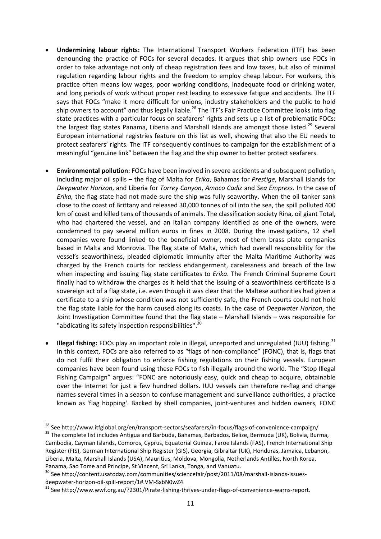- **Undermining labour rights:** The International Transport Workers Federation (ITF) has been denouncing the practice of FOCs for several decades. It argues that ship owners use FOCs in order to take advantage not only of cheap registration fees and low taxes, but also of minimal regulation regarding labour rights and the freedom to employ cheap labour. For workers, this practice often means low wages, poor working conditions, inadequate food or drinking water, and long periods of work without proper rest leading to excessive fatigue and accidents. The ITF says that FOCs "make it more difficult for unions, industry stakeholders and the public to hold ship owners to account" and thus legally liable.<sup>28</sup> The ITF's Fair Practice Committee looks into flag state practices with a particular focus on seafarers' rights and sets up a list of problematic FOCs: the largest flag states Panama, Liberia and Marshall Islands are amongst those listed.<sup>29</sup> Several European international registries feature on this list as well, showing that also the EU needs to protect seafarers' rights. The ITF consequently continues to campaign for the establishment of a meaningful "genuine link" between the flag and the ship owner to better protect seafarers.
- **Environmental pollution:** FOCs have been involved in severe accidents and subsequent pollution, including major oil spills – the flag of Malta for *Erika*, Bahamas for *Prestige*, Marshall Islands for *Deepwater Horizon*, and Liberia for *Torrey Canyon*, *Amoco Cadiz* and *Sea Empress*. In the case of *Erika,* the flag state had not made sure the ship was fully seaworthy. When the oil tanker sank close to the coast of Brittany and released 30,000 tonnes of oil into the sea, the spill polluted 400 km of coast and killed tens of thousands of animals. The classification society Rina, oil giant Total, who had chartered the vessel, and an Italian company identified as one of the owners, were condemned to pay several million euros in fines in 2008. During the investigations, 12 shell companies were found linked to the beneficial owner, most of them brass plate companies based in Malta and Monrovia. The flag state of Malta, which had overall responsibility for the vessel's seaworthiness, pleaded diplomatic immunity after the Malta Maritime Authority was charged by the French courts for reckless endangerment, carelessness and breach of the law when inspecting and issuing flag state certificates to *Erika*. The French Criminal Supreme Court finally had to withdraw the charges as it held that the issuing of a seaworthiness certificate is a sovereign act of a flag state, i.e. even though it was clear that the Maltese authorities had given a certificate to a ship whose condition was not sufficiently safe, the French courts could not hold the flag state liable for the harm caused along its coasts. In the case of *Deepwater Horizon*, the Joint Investigation Committee found that the flag state – Marshall Islands – was responsible for "abdicating its safety inspection responsibilities".<sup>30</sup>
- **Illegal fishing:** FOCs play an important role in illegal, unreported and unregulated (IUU) fishing.<sup>31</sup> In this context, FOCs are also referred to as "flags of non-compliance" (FONC), that is, flags that do not fulfil their obligation to enforce fishing regulations on their fishing vessels. European companies have been found using these FOCs to fish illegally around the world. The "Stop Illegal Fishing Campaign" argues: "FONC are notoriously easy, quick and cheap to acquire, obtainable over the Internet for just a few hundred dollars. IUU vessels can therefore re-flag and change names several times in a season to confuse management and surveillance authorities, a practice known as 'flag hopping'. Backed by shell companies, joint-ventures and hidden owners, FONC

<sup>29</sup> The complete list includes Antigua and Barbuda, Bahamas, Barbados, Belize, Bermuda (UK), Bolivia, Burma, Cambodia, Cayman Islands, Comoros, Cyprus, Equatorial Guinea, Faroe Islands (FAS), French International Ship Register (FIS), German International Ship Register (GIS), Georgia, Gibraltar (UK), Honduras, Jamaica, Lebanon, Liberia, Malta, Marshall Islands (USA), Mauritius, Moldova, Mongolia, Netherlands Antilles, North Korea, Panama, Sao Tome and Príncipe, St Vincent, Sri Lanka, Tonga, and Vanuatu.

 $\overline{a}$ <sup>28</sup> See http://www.itfglobal.org/en/transport-sectors/seafarers/in-focus/flags-of-convenience-campaign/

<sup>&</sup>lt;sup>30</sup> See http://content.usatoday.com/communities/sciencefair/post/2011/08/marshall-islands-issuesdeepwater-horizon-oil-spill-report/1#.VM-SxbN0wZ4

<sup>&</sup>lt;sup>31</sup> See http://www.wwf.org.au/?2301/Pirate-fishing-thrives-under-flags-of-convenience-warns-report.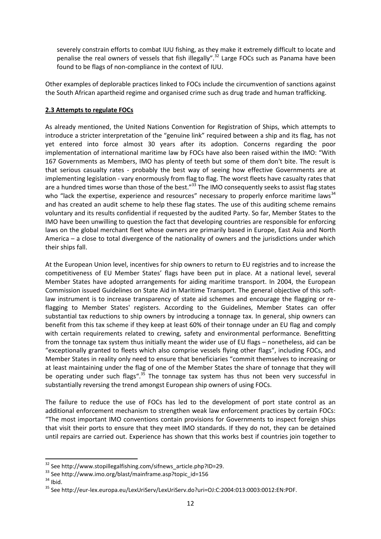severely constrain efforts to combat IUU fishing, as they make it extremely difficult to locate and penalise the real owners of vessels that fish illegally".<sup>32</sup> Large FOCs such as Panama have been found to be flags of non-compliance in the context of IUU.

Other examples of deplorable practices linked to FOCs include the circumvention of sanctions against the South African apartheid regime and organised crime such as drug trade and human trafficking.

#### **2.3 Attempts to regulate FOCs**

As already mentioned, the United Nations Convention for Registration of Ships, which attempts to introduce a stricter interpretation of the "genuine link" required between a ship and its flag, has not yet entered into force almost 30 years after its adoption. Concerns regarding the poor implementation of international maritime law by FOCs have also been raised within the IMO: "With 167 Governments as Members, IMO has plenty of teeth but some of them don't bite. The result is that serious casualty rates - probably the best way of seeing how effective Governments are at implementing legislation - vary enormously from flag to flag. The worst fleets have casualty rates that are a hundred times worse than those of the best."<sup>33</sup> The IMO consequently seeks to assist flag states who "lack the expertise, experience and resources" necessary to properly enforce maritime laws  $34$ and has created an audit scheme to help these flag states. The use of this auditing scheme remains voluntary and its results confidential if requested by the audited Party. So far, Member States to the IMO have been unwilling to question the fact that developing countries are responsible for enforcing laws on the global merchant fleet whose owners are primarily based in Europe, East Asia and North America – a close to total divergence of the nationality of owners and the jurisdictions under which their ships fall.

At the European Union level, incentives for ship owners to return to EU registries and to increase the competitiveness of EU Member States' flags have been put in place. At a national level, several Member States have adopted arrangements for aiding maritime transport. In 2004, the European Commission issued Guidelines on State Aid in Maritime Transport. The general objective of this softlaw instrument is to increase transparency of state aid schemes and encourage the flagging or reflagging to Member States' registers. According to the Guidelines, Member States can offer substantial tax reductions to ship owners by introducing a tonnage tax. In general, ship owners can benefit from this tax scheme if they keep at least 60% of their tonnage under an EU flag and comply with certain requirements related to crewing, safety and environmental performance. Benefitting from the tonnage tax system thus initially meant the wider use of EU flags – nonetheless, aid can be "exceptionally granted to fleets which also comprise vessels flying other flags", including FOCs, and Member States in reality only need to ensure that beneficiaries "commit themselves to increasing or at least maintaining under the flag of one of the Member States the share of tonnage that they will be operating under such flags".<sup>35</sup> The tonnage tax system has thus not been very successful in substantially reversing the trend amongst European ship owners of using FOCs.

The failure to reduce the use of FOCs has led to the development of port state control as an additional enforcement mechanism to strengthen weak law enforcement practices by certain FOCs: "The most important IMO conventions contain provisions for Governments to inspect foreign ships that visit their ports to ensure that they meet IMO standards. If they do not, they can be detained until repairs are carried out. Experience has shown that this works best if countries join together to

<sup>&</sup>lt;sup>32</sup> See http://www.stopillegalfishing.com/sifnews\_article.php?ID=29.

<sup>33</sup> See http://www.imo.org/blast/mainframe.asp?topic\_id=156

 $34$  Ibid.

<sup>35</sup> See http://eur-lex.europa.eu/LexUriServ/LexUriServ.do?uri=OJ:C:2004:013:0003:0012:EN:PDF.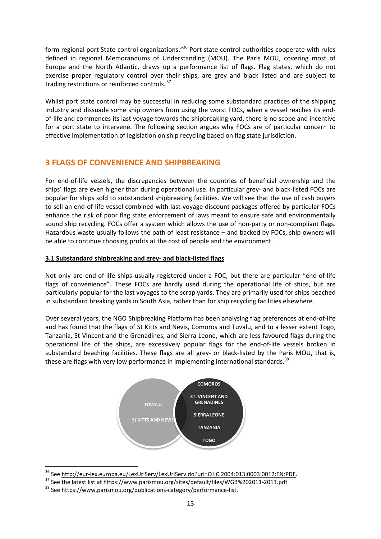form regional port State control organizations."<sup>36</sup> Port state control authorities cooperate with rules defined in regional Memorandums of Understanding (MOU). The Paris MOU, covering most of Europe and the North Atlantic, draws up a performance list of flags. Flag states, which do not exercise proper regulatory control over their ships, are grey and black listed and are subject to trading restrictions or reinforced controls.<sup>37</sup>

Whilst port state control may be successful in reducing some substandard practices of the shipping industry and dissuade some ship owners from using the worst FOCs, when a vessel reaches its endof-life and commences its last voyage towards the shipbreaking yard, there is no scope and incentive for a port state to intervene. The following section argues why FOCs are of particular concern to effective implementation of legislation on ship recycling based on flag state jurisdiction.

## **3 FLAGS OF CONVENIENCE AND SHIPBREAKING**

For end-of-life vessels, the discrepancies between the countries of beneficial ownership and the ships' flags are even higher than during operational use. In particular grey- and black-listed FOCs are popular for ships sold to substandard shipbreaking facilities. We will see that the use of cash buyers to sell an end-of-life vessel combined with last-voyage discount packages offered by particular FOCs enhance the risk of poor flag state enforcement of laws meant to ensure safe and environmentally sound ship recycling. FOCs offer a system which allows the use of non-party or non-compliant flags. Hazardous waste usually follows the path of least resistance – and backed by FOCs, ship owners will be able to continue choosing profits at the cost of people and the environment.

#### **3.1 Substandard shipbreaking and grey- and black-listed flags**

Not only are end-of-life ships usually registered under a FOC, but there are particular "end-of-life flags of convenience". These FOCs are hardly used during the operational life of ships, but are particularly popular for the last voyages to the scrap yards. They are primarily used for ships beached in substandard breaking yards in South Asia, rather than for ship recycling facilities elsewhere.

Over several years, the NGO Shipbreaking Platform has been analysing flag preferences at end-of-life and has found that the flags of St Kitts and Nevis, Comoros and Tuvalu, and to a lesser extent Togo, Tanzania, St Vincent and the Grenadines, and Sierra Leone, which are less favoured flags during the operational life of the ships, are excessively popular flags for the end-of-life vessels broken in substandard beaching facilities. These flags are all grey- or black-listed by the Paris MOU, that is, these are flags with very low performance in implementing international standards.<sup>38</sup>



<sup>&</sup>lt;sup>36</sup> Se[e http://eur-lex.europa.eu/LexUriServ/LexUriServ.do?uri=OJ:C:2004:013:0003:0012:EN:PDF.](http://eur-lex.europa.eu/LexUriServ/LexUriServ.do?uri=OJ:C:2004:013:0003:0012:EN:PDF)

 $\overline{a}$ 

<sup>37</sup> See the latest list at<https://www.parismou.org/sites/default/files/WGB%202011-2013.pdf>

<sup>&</sup>lt;sup>38</sup> See https://www.parismou.org/publications-category/performance-list.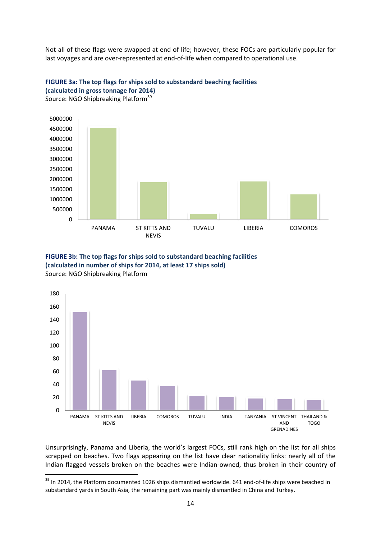Not all of these flags were swapped at end of life; however, these FOCs are particularly popular for last voyages and are over-represented at end-of-life when compared to operational use.





Source: NGO Shipbreaking Platform<sup>39</sup>

1





Unsurprisingly, Panama and Liberia, the world's largest FOCs, still rank high on the list for all ships scrapped on beaches. Two flags appearing on the list have clear nationality links: nearly all of the Indian flagged vessels broken on the beaches were Indian-owned, thus broken in their country of

 $39$  In 2014, the Platform documented 1026 ships dismantled worldwide. 641 end-of-life ships were beached in substandard yards in South Asia, the remaining part was mainly dismantled in China and Turkey.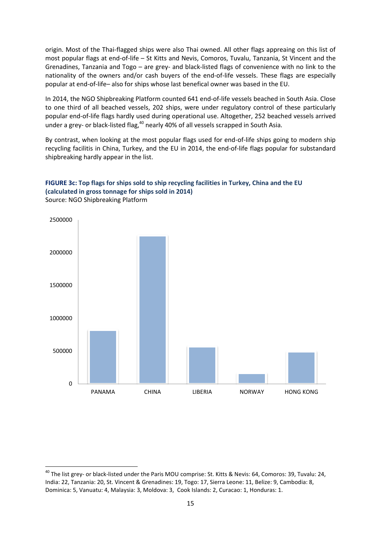origin. Most of the Thai-flagged ships were also Thai owned. All other flags appreaing on this list of most popular flags at end-of-life – St Kitts and Nevis, Comoros, Tuvalu, Tanzania, St Vincent and the Grenadines, Tanzania and Togo – are grey- and black-listed flags of convenience with no link to the nationality of the owners and/or cash buyers of the end-of-life vessels. These flags are especially popular at end-of-life– also for ships whose last benefical owner was based in the EU.

In 2014, the NGO Shipbreaking Platform counted 641 end-of-life vessels beached in South Asia. Close to one third of all beached vessels, 202 ships, were under regulatory control of these particularly popular end-of-life flags hardly used during operational use. Altogether, 252 beached vessels arrived under a grey- or black-listed flag,<sup>40</sup> nearly 40% of all vessels scrapped in South Asia.

By contrast, when looking at the most popular flags used for end-of-life ships going to modern ship recycling facilitis in China, Turkey, and the EU in 2014, the end-of-life flags popular for substandard shipbreaking hardly appear in the list.



#### **FIGURE 3c: Top flags for ships sold to ship recycling facilities in Turkey, China and the EU (calculated in gross tonnage for ships sold in 2014)** Source: NGO Shipbreaking Platform

 $\overline{a}$ 

<sup>&</sup>lt;sup>40</sup> The list grey- or black-listed under the Paris MOU comprise: St. Kitts & Nevis: 64, Comoros: 39, Tuvalu: 24, India: 22, Tanzania: 20, St. Vincent & Grenadines: 19, Togo: 17, Sierra Leone: 11, Belize: 9, Cambodia: 8, Dominica: 5, Vanuatu: 4, Malaysia: 3, Moldova: 3, Cook Islands: 2, Curacao: 1, Honduras: 1.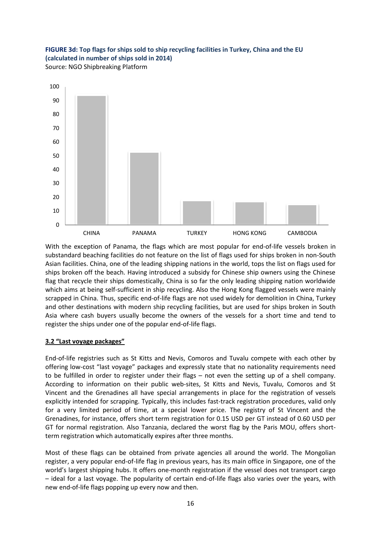#### **FIGURE 3d: Top flags for ships sold to ship recycling facilities in Turkey, China and the EU (calculated in number of ships sold in 2014)** Source: NGO Shipbreaking Platform



With the exception of Panama, the flags which are most popular for end-of-life vessels broken in substandard beaching facilities do not feature on the list of flags used for ships broken in non-South Asian facilities. China, one of the leading shipping nations in the world, tops the list on flags used for ships broken off the beach. Having introduced a subsidy for Chinese ship owners using the Chinese flag that recycle their ships domestically, China is so far the only leading shipping nation worldwide which aims at being self-sufficient in ship recycling. Also the Hong Kong flagged vessels were mainly scrapped in China. Thus, specific end-of-life flags are not used widely for demolition in China, Turkey and other destinations with modern ship recycling facilities, but are used for ships broken in South Asia where cash buyers usually become the owners of the vessels for a short time and tend to register the ships under one of the popular end-of-life flags.

#### **3.2 "Last voyage packages"**

End-of-life registries such as St Kitts and Nevis, Comoros and Tuvalu compete with each other by offering low-cost "last voyage" packages and expressly state that no nationality requirements need to be fulfilled in order to register under their flags – not even the setting up of a shell company. According to information on their public web-sites, St Kitts and Nevis, Tuvalu, Comoros and St Vincent and the Grenadines all have special arrangements in place for the registration of vessels explicitly intended for scrapping. Typically, this includes fast-track registration procedures, valid only for a very limited period of time, at a special lower price. The registry of St Vincent and the Grenadines, for instance, offers short term registration for 0.15 USD per GT instead of 0.60 USD per GT for normal registration. Also Tanzania, declared the worst flag by the Paris MOU, offers shortterm registration which automatically expires after three months.

Most of these flags can be obtained from private agencies all around the world. The Mongolian register, a very popular end-of-life flag in previous years, has its main office in Singapore, one of the world's largest shipping hubs. It offers one-month registration if the vessel does not transport cargo – ideal for a last voyage. The popularity of certain end-of-life flags also varies over the years, with new end-of-life flags popping up every now and then.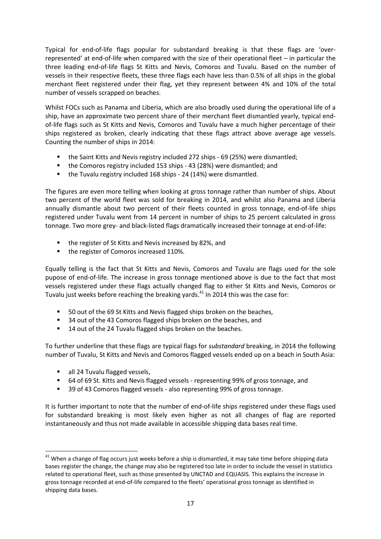Typical for end-of-life flags popular for substandard breaking is that these flags are 'overrepresented' at end-of-life when compared with the size of their operational fleet – in particular the three leading end-of-life flags St Kitts and Nevis, Comoros and Tuvalu. Based on the number of vessels in their respective fleets, these three flags each have less than 0.5% of all ships in the global merchant fleet registered under their flag, yet they represent between 4% and 10% of the total number of vessels scrapped on beaches.

Whilst FOCs such as Panama and Liberia, which are also broadly used during the operational life of a ship, have an approximate two percent share of their merchant fleet dismantled yearly, typical endof-life flags such as St Kitts and Nevis, Comoros and Tuvalu have a much higher percentage of their ships registered as broken, clearly indicating that these flags attract above average age vessels. Counting the number of ships in 2014:

- the Saint Kitts and Nevis registry included 272 ships 69 (25%) were dismantled;
- the Comoros registry included 153 ships 43 (28%) were dismantled; and
- the Tuvalu registry included 168 ships 24 (14%) were dismantled.

The figures are even more telling when looking at gross tonnage rather than number of ships. About two percent of the world fleet was sold for breaking in 2014, and whilst also Panama and Liberia annually dismantle about two percent of their fleets counted in gross tonnage, end-of-life ships registered under Tuvalu went from 14 percent in number of ships to 25 percent calculated in gross tonnage. Two more grey- and black-listed flags dramatically increased their tonnage at end-of-life:

- the register of St Kitts and Nevis increased by 82%, and
- the register of Comoros increased 110%.

Equally telling is the fact that St Kitts and Nevis, Comoros and Tuvalu are flags used for the sole pupose of end-of-life. The increase in gross tonnage mentioned above is due to the fact that most vessels registered under these flags actually changed flag to either St Kitts and Nevis, Comoros or Tuvalu just weeks before reaching the breaking yards.<sup>41</sup> In 2014 this was the case for:

- 50 out of the 69 St Kitts and Nevis flagged ships broken on the beaches,
- 34 out of the 43 Comoros flagged ships broken on the beaches, and
- 14 out of the 24 Tuvalu flagged ships broken on the beaches.

To further underline that these flags are typical flags for *substandard* breaking, in 2014 the following number of Tuvalu, St Kitts and Nevis and Comoros flagged vessels ended up on a beach in South Asia:

all 24 Tuvalu flagged vessels,

 $\overline{a}$ 

- 64 of 69 St. Kitts and Nevis flagged vessels representing 99% of gross tonnage, and
- 39 of 43 Comoros flagged vessels also representing 99% of gross tonnage.

It is further important to note that the number of end-of-life ships registered under these flags used for substandard breaking is most likely even higher as not all changes of flag are reported instantaneously and thus not made available in accessible shipping data bases real time.

 $41$  When a change of flag occurs just weeks before a ship is dismantled, it may take time before shipping data bases register the change, the change may also be registered too late in order to include the vessel in statistics related to operational fleet, such as those presented by UNCTAD and EQUASIS. This explains the increase in gross tonnage recorded at end-of-life compared to the fleets' operational gross tonnage as identified in shipping data bases.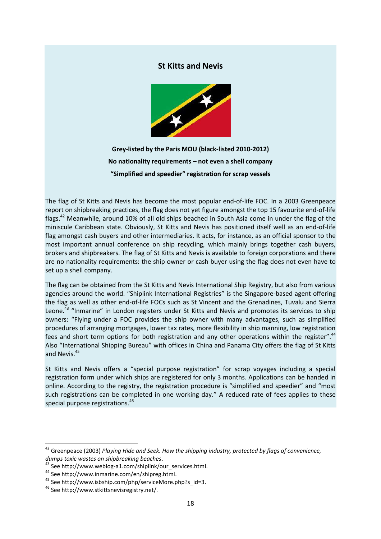#### **St Kitts and Nevis**



**Grey-listed by the Paris MOU (black-listed 2010-2012) No nationality requirements – not even a shell company "Simplified and speedier" registration for scrap vessels**

The flag of St Kitts and Nevis has become the most popular end-of-life FOC. In a 2003 Greenpeace report on shipbreaking practices, the flag does not yet figure amongst the top 15 favourite end-of-life flags.<sup>42</sup> Meanwhile, around 10% of all old ships beached in South Asia come in under the flag of the miniscule Caribbean state. Obviously, St Kitts and Nevis has positioned itself well as an end-of-life flag amongst cash buyers and other intermediaries. It acts, for instance, as an official sponsor to the most important annual conference on ship recycling, which mainly brings together cash buyers, brokers and shipbreakers. The flag of St Kitts and Nevis is available to foreign corporations and there are no nationality requirements: the ship owner or cash buyer using the flag does not even have to set up a shell company.

The flag can be obtained from the St Kitts and Nevis International Ship Registry, but also from various agencies around the world. "Shiplink International Registries" is the Singapore-based agent offering the flag as well as other end-of-life FOCs such as St Vincent and the Grenadines, Tuvalu and Sierra Leone.<sup>43</sup> "Inmarine" in London registers under St Kitts and Nevis and promotes its services to ship owners: "Flying under a FOC provides the ship owner with many advantages, such as simplified procedures of arranging mortgages, lower tax rates, more flexibility in ship manning, low registration fees and short term options for both registration and any other operations within the register".<sup>44</sup> Also "International Shipping Bureau" with offices in China and Panama City offers the flag of St Kitts and Nevis.<sup>45</sup>

St Kitts and Nevis offers a "special purpose registration" for scrap voyages including a special registration form under which ships are registered for only 3 months. Applications can be handed in online. According to the registry, the registration procedure is "simplified and speedier" and "most such registrations can be completed in one working day." A reduced rate of fees applies to these special purpose registrations.<sup>46</sup>

<sup>&</sup>lt;sup>42</sup> Greenpeace (2003) Playing Hide and Seek. How the shipping industry, protected by flags of convenience, *dumps toxic wastes on shipbreaking beaches*.

<sup>&</sup>lt;sup>43</sup> See http://www.weblog-a1.com/shiplink/our\_services.html.

<sup>44</sup> Se[e http://www.inmarine.com/en/shipreg.html.](http://www.inmarine.com/en/shipreg.html)

<sup>45</sup> See http://www.isbship.com/php/serviceMore.php?s\_id=3.

<sup>46</sup> See http://www.stkittsnevisregistry.net/.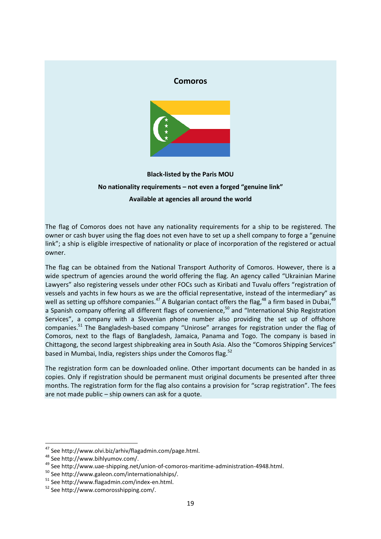#### **Comoros**



## **Black-listed by the Paris MOU No nationality requirements – not even a forged "genuine link" Available at agencies all around the world**

The flag of Comoros does not have any nationality requirements for a ship to be registered. The owner or cash buyer using the flag does not even have to set up a shell company to forge a "genuine link"; a ship is eligible irrespective of nationality or place of incorporation of the registered or actual owner.

The flag can be obtained from the National Transport Authority of Comoros. However, there is a wide spectrum of agencies around the world offering the flag. An agency called "Ukrainian Marine Lawyers" also registering vessels under other FOCs such as Kiribati and Tuvalu offers "registration of vessels and yachts in few hours as we are the official representative, instead of the intermediary" as well as setting up offshore companies.<sup>47</sup> A Bulgarian contact offers the flag,<sup>48</sup> a firm based in Dubai,<sup>49</sup> a Spanish company offering all different flags of convenience, <sup>50</sup> and "International Ship Registration Services", a company with a Slovenian phone number also providing the set up of offshore companies.<sup>51</sup> The Bangladesh-based company "Unirose" arranges for registration under the flag of Comoros, next to the flags of Bangladesh, Jamaica, Panama and Togo. The company is based in Chittagong, the second largest shipbreaking area in South Asia. Also the "Comoros Shipping Services" based in Mumbai, India, registers ships under the Comoros flag.<sup>52</sup>

The registration form can be downloaded online. Other important documents can be handed in as copies. Only if registration should be permanent must original documents be presented after three months. The registration form for the flag also contains a provision for "scrap registration". The fees are not made public – ship owners can ask for a quote.

<sup>&</sup>lt;sup>47</sup> See http://www.olvi.biz/arhiv/flagadmin.com/page.html.

<sup>48</sup> See http://www.bihlyumov.com/.

<sup>49</sup> See http://www.uae-shipping.net/union-of-comoros-maritime-administration-4948.html.

<sup>50</sup> See http://www.galeon.com/internationalships/.

<sup>51</sup> See http://www.flagadmin.com/index-en.html.

<sup>52</sup> See http://www.comorosshipping.com/.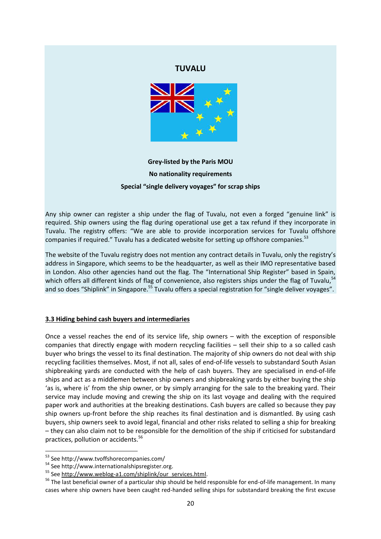#### **TUVALU**



**Grey-listed by the Paris MOU No nationality requirements Special "single delivery voyages" for scrap ships**

Any ship owner can register a ship under the flag of Tuvalu, not even a forged "genuine link" is required. Ship owners using the flag during operational use get a tax refund if they incorporate in Tuvalu. The registry offers: "We are able to provide incorporation services for Tuvalu offshore companies if required." Tuvalu has a dedicated website for setting up offshore companies.<sup>53</sup>

The website of the Tuvalu registry does not mention any contract details in Tuvalu, only the registry's address in Singapore, which seems to be the headquarter, as well as their IMO representative based in London. Also other agencies hand out the flag. The "International Ship Register" based in Spain, which offers all different kinds of flag of convenience, also registers ships under the flag of Tuvalu, <sup>54</sup> and so does "Shiplink" in Singapore.<sup>55</sup> Tuvalu offers a special registration for "single deliver voyages".

#### **3.3 Hiding behind cash buyers and intermediaries**

Once a vessel reaches the end of its service life, ship owners – with the exception of responsible companies that directly engage with modern recycling facilities – sell their ship to a so called cash buyer who brings the vessel to its final destination. The majority of ship owners do not deal with ship recycling facilities themselves. Most, if not all, sales of end-of-life vessels to substandard South Asian shipbreaking yards are conducted with the help of cash buyers. They are specialised in end-of-life ships and act as a middlemen between ship owners and shipbreaking yards by either buying the ship 'as is, where is' from the ship owner, or by simply arranging for the sale to the breaking yard. Their service may include moving and crewing the ship on its last voyage and dealing with the required paper work and authorities at the breaking destinations. Cash buyers are called so because they pay ship owners up-front before the ship reaches its final destination and is dismantled. By using cash buyers, ship owners seek to avoid legal, financial and other risks related to selling a ship for breaking – they can also claim not to be responsible for the demolition of the ship if criticised for substandard practices, pollution or accidents.<sup>56</sup>

 $\overline{a}$ 

<sup>53</sup> See http://www.tvoffshorecompanies.com/

<sup>54</sup> See http://www.internationalshipsregister.org.

<sup>55</sup> Se[e http://www.weblog-a1.com/shiplink/our\\_services.html.](http://www.weblog-a1.com/shiplink/our_services.html)

<sup>&</sup>lt;sup>56</sup> The last beneficial owner of a particular ship should be held responsible for end-of-life management. In many cases where ship owners have been caught red-handed selling ships for substandard breaking the first excuse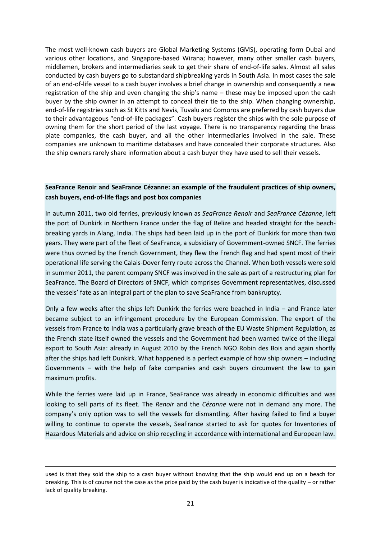The most well-known cash buyers are Global Marketing Systems (GMS), operating form Dubai and various other locations, and Singapore-based Wirana; however, many other smaller cash buyers, middlemen, brokers and intermediaries seek to get their share of end-of-life sales. Almost all sales conducted by cash buyers go to substandard shipbreaking yards in South Asia. In most cases the sale of an end-of-life vessel to a cash buyer involves a brief change in ownership and consequently a new registration of the ship and even changing the ship's name – these may be imposed upon the cash buyer by the ship owner in an attempt to conceal their tie to the ship. When changing ownership, end-of-life registries such as St Kitts and Nevis, Tuvalu and Comoros are preferred by cash buyers due to their advantageous "end-of-life packages". Cash buyers register the ships with the sole purpose of owning them for the short period of the last voyage. There is no transparency regarding the brass plate companies, the cash buyer, and all the other intermediaries involved in the sale. These companies are unknown to maritime databases and have concealed their corporate structures. Also the ship owners rarely share information about a cash buyer they have used to sell their vessels.

#### **SeaFrance Renoir and SeaFrance Cézanne: an example of the fraudulent practices of ship owners, cash buyers, end-of-life flags and post box companies**

In autumn 2011, two old ferries, previously known as *SeaFrance Renoir* and *SeaFrance Cézanne*, left the port of Dunkirk in Northern France under the flag of Belize and headed straight for the beachbreaking yards in Alang, India. The ships had been laid up in the port of Dunkirk for more than two years. They were part of the fleet of SeaFrance, a subsidiary of Government-owned SNCF. The ferries were thus owned by the French Government, they flew the French flag and had spent most of their operational life serving the Calais-Dover ferry route across the Channel. When both vessels were sold in summer 2011, the parent company SNCF was involved in the sale as part of a restructuring plan for SeaFrance. The Board of Directors of SNCF, which comprises Government representatives, discussed the vessels' fate as an integral part of the plan to save SeaFrance from bankruptcy.

Only a few weeks after the ships left Dunkirk the ferries were beached in India – and France later became subject to an infringement procedure by the European Commission. The export of the vessels from France to India was a particularly grave breach of the EU Waste Shipment Regulation, as the French state itself owned the vessels and the Government had been warned twice of the illegal export to South Asia: already in August 2010 by the French NGO Robin des Bois and again shortly after the ships had left Dunkirk. What happened is a perfect example of how ship owners – including Governments – with the help of fake companies and cash buyers circumvent the law to gain maximum profits.

While the ferries were laid up in France, SeaFrance was already in economic difficulties and was looking to sell parts of its fleet. The *Renoir* and the *Cézanne* were not in demand any more. The company's only option was to sell the vessels for dismantling. After having failed to find a buyer willing to continue to operate the vessels, SeaFrance started to ask for quotes for Inventories of Hazardous Materials and advice on ship recycling in accordance with international and European law.

**<sup>.</sup>** used is that they sold the ship to a cash buyer without knowing that the ship would end up on a beach for breaking. This is of course not the case as the price paid by the cash buyer is indicative of the quality – or rather lack of quality breaking.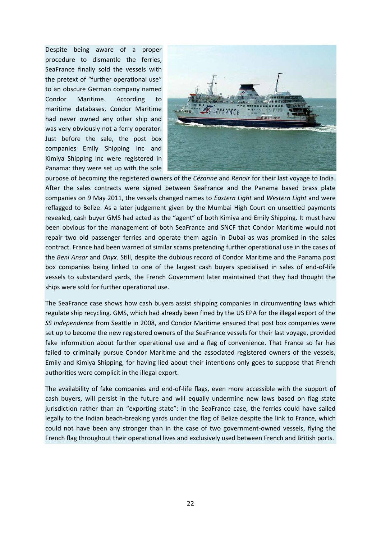Despite being aware of a proper procedure to dismantle the ferries, SeaFrance finally sold the vessels with the pretext of "further operational use" to an obscure German company named Condor Maritime. According to maritime databases, Condor Maritime had never owned any other ship and was very obviously not a ferry operator. Just before the sale, the post box companies Emily Shipping Inc and Kimiya Shipping Inc were registered in Panama: they were set up with the sole



purpose of becoming the registered owners of the *Cézanne* and *Renoir* for their last voyage to India. After the sales contracts were signed between SeaFrance and the Panama based brass plate companies on 9 May 2011, the vessels changed names to *Eastern Light* and *Western Light* and were reflagged to Belize. As a later judgement given by the Mumbai High Court on unsettled payments revealed, cash buyer GMS had acted as the "agent" of both Kimiya and Emily Shipping. It must have been obvious for the management of both SeaFrance and SNCF that Condor Maritime would not repair two old passenger ferries and operate them again in Dubai as was promised in the sales contract. France had been warned of similar scams pretending further operational use in the cases of the *Beni Ansar* and *Onyx*. Still, despite the dubious record of Condor Maritime and the Panama post box companies being linked to one of the largest cash buyers specialised in sales of end-of-life vessels to substandard yards, the French Government later maintained that they had thought the ships were sold for further operational use.

The SeaFrance case shows how cash buyers assist shipping companies in circumventing laws which regulate ship recycling. GMS, which had already been fined by the US EPA for the illegal export of the *SS Independence* from Seattle in 2008, and Condor Maritime ensured that post box companies were set up to become the new registered owners of the SeaFrance vessels for their last voyage, provided fake information about further operational use and a flag of convenience. That France so far has failed to criminally pursue Condor Maritime and the associated registered owners of the vessels, Emily and Kimiya Shipping, for having lied about their intentions only goes to suppose that French authorities were complicit in the illegal export.

The availability of fake companies and end-of-life flags, even more accessible with the support of cash buyers, will persist in the future and will equally undermine new laws based on flag state jurisdiction rather than an "exporting state": in the SeaFrance case, the ferries could have sailed legally to the Indian beach-breaking yards under the flag of Belize despite the link to France, which could not have been any stronger than in the case of two government-owned vessels, flying the French flag throughout their operational lives and exclusively used between French and British ports.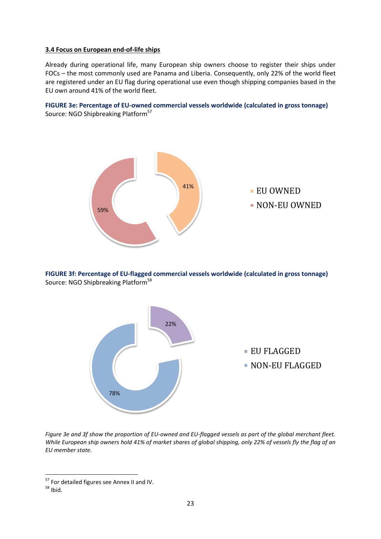#### **3.4 Focus on European end-of-life ships**

Already during operational life, many European ship owners choose to register their ships under FOCs – the most commonly used are Panama and Liberia. Consequently, only 22% of the world fleet are registered under an EU flag during operational use even though shipping companies based in the EU own around 41% of the world fleet.





**FIGURE 3f: Percentage of EU-flagged commercial vessels worldwide (calculated in gross tonnage)** Source: NGO Shipbreaking Platform<sup>58</sup>



*Figure 3e and 3f show the proportion of EU-owned and EU-flagged vessels as part of the global merchant fleet. While European ship owners hold 41% of market shares of global shipping, only 22% of vessels fly the flag of an EU member state.*

1

<sup>&</sup>lt;sup>57</sup> For detailed figures see Annex II and IV.

<sup>58</sup> Ibid.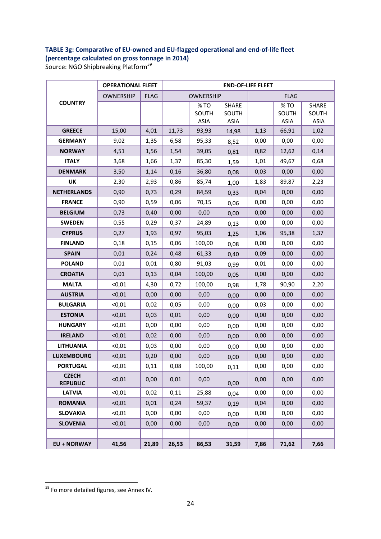#### **TABLE 3g: Comparative of EU-owned and EU-flagged operational and end-of-life fleet (percentage calculated on gross tonnage in 2014)**

Source: NGO Shipbreaking Platform<sup>59</sup>

|                                 | <b>OPERATIONAL FLEET</b> |             | <b>END-OF-LIFE FLEET</b> |                             |                                      |      |                             |                                      |  |  |  |  |
|---------------------------------|--------------------------|-------------|--------------------------|-----------------------------|--------------------------------------|------|-----------------------------|--------------------------------------|--|--|--|--|
|                                 | <b>OWNERSHIP</b>         | <b>FLAG</b> |                          | <b>OWNERSHIP</b>            |                                      |      | <b>FLAG</b>                 |                                      |  |  |  |  |
| <b>COUNTRY</b>                  |                          |             |                          | %TO<br>SOUTH<br><b>ASIA</b> | <b>SHARE</b><br>SOUTH<br><b>ASIA</b> |      | %TO<br>SOUTH<br><b>ASIA</b> | <b>SHARE</b><br>SOUTH<br><b>ASIA</b> |  |  |  |  |
| <b>GREECE</b>                   | 15,00                    | 4,01        | 11,73                    | 93,93                       | 14,98                                | 1,13 | 66,91                       | 1,02                                 |  |  |  |  |
| <b>GERMANY</b>                  | 9,02                     | 1,35        | 6,58                     | 95,33                       | 8,52                                 | 0,00 | 0,00                        | 0,00                                 |  |  |  |  |
| <b>NORWAY</b>                   | 4,51                     | 1,56        | 1,54                     | 39,05                       | 0,81                                 | 0,82 | 12,62                       | 0,14                                 |  |  |  |  |
| <b>ITALY</b>                    | 3,68                     | 1,66        | 1,37                     | 85,30                       | 1,59                                 | 1,01 | 49,67                       | 0,68                                 |  |  |  |  |
| <b>DENMARK</b>                  | 3,50                     | 1,14        | 0,16                     | 36,80                       | 0,08                                 | 0,03 | 0,00                        | 0,00                                 |  |  |  |  |
| UK                              | 2,30                     | 2,93        | 0,86                     | 85,74                       | 1,00                                 | 1,83 | 89,87                       | 2,23                                 |  |  |  |  |
| <b>NETHERLANDS</b>              | 0,90                     | 0,73        | 0,29                     | 84,59                       | 0,33                                 | 0,04 | 0,00                        | 0,00                                 |  |  |  |  |
| <b>FRANCE</b>                   | 0,90                     | 0,59        | 0,06                     | 70,15                       | 0,06                                 | 0,00 | 0,00                        | 0,00                                 |  |  |  |  |
| <b>BELGIUM</b>                  | 0,73                     | 0,40        | 0,00                     | 0,00                        | 0,00                                 | 0,00 | 0,00                        | 0,00                                 |  |  |  |  |
| <b>SWEDEN</b>                   | 0,55                     | 0,29        | 0,37                     | 24,89                       | 0,13                                 | 0,00 | 0,00                        | 0,00                                 |  |  |  |  |
| <b>CYPRUS</b>                   | 0,27                     | 1,93        | 0,97                     | 95,03                       | 1,25                                 | 1,06 | 95,38                       | 1,37                                 |  |  |  |  |
| <b>FINLAND</b>                  | 0,18                     | 0,15        | 0,06                     | 100,00                      | 0,08                                 | 0,00 | 0,00                        | 0,00                                 |  |  |  |  |
| <b>SPAIN</b>                    | 0,01                     | 0,24        | 0,48                     | 61,33                       | 0,40                                 | 0,09 | 0,00                        | 0,00                                 |  |  |  |  |
| <b>POLAND</b>                   | 0,01                     | 0,01        | 0,80                     | 91,03                       | 0,99                                 | 0,01 | 0,00                        | 0,00                                 |  |  |  |  |
| <b>CROATIA</b>                  | 0,01                     | 0,13        | 0,04                     | 100,00                      | 0,05                                 | 0,00 | 0,00                        | 0,00                                 |  |  |  |  |
| <b>MALTA</b>                    | $0,01$                   | 4,30        | 0,72                     | 100,00                      | 0,98                                 | 1,78 | 90,90                       | 2,20                                 |  |  |  |  |
| <b>AUSTRIA</b>                  | < 0, 01                  | 0,00        | 0,00                     | 0,00                        | 0,00                                 | 0,00 | 0,00                        | 0,00                                 |  |  |  |  |
| <b>BULGARIA</b>                 | $0,01$                   | 0,02        | 0,05                     | 0,00                        | 0,00                                 | 0,03 | 0,00                        | 0,00                                 |  |  |  |  |
| <b>ESTONIA</b>                  | < 0, 01                  | 0,03        | 0,01                     | 0,00                        | 0,00                                 | 0,00 | 0,00                        | 0,00                                 |  |  |  |  |
| <b>HUNGARY</b>                  | $0,01$                   | 0,00        | 0,00                     | 0,00                        | 0,00                                 | 0,00 | 0,00                        | 0,00                                 |  |  |  |  |
| <b>IRELAND</b>                  | < 0, 01                  | 0,02        | 0,00                     | 0,00                        | 0,00                                 | 0,00 | 0,00                        | 0,00                                 |  |  |  |  |
| <b>LITHUANIA</b>                | < 0, 01                  | 0,03        | 0,00                     | 0,00                        | 0,00                                 | 0,00 | 0,00                        | 0,00                                 |  |  |  |  |
| <b>LUXEMBOURG</b>               | < 0, 01                  | 0,20        | 0,00                     | 0,00                        | 0,00                                 | 0,00 | 0,00                        | 0,00                                 |  |  |  |  |
| <b>PORTUGAL</b>                 | < 0, 01                  | 0,11        | 0,08                     | 100,00                      | 0,11                                 | 0,00 | 0,00                        | 0,00                                 |  |  |  |  |
| <b>CZECH</b><br><b>REPUBLIC</b> | < 0.01                   | 0,00        | 0,01                     | 0,00                        | 0,00                                 | 0,00 | 0,00                        | 0,00                                 |  |  |  |  |
| <b>LATVIA</b>                   | < 0, 01                  | 0,02        | 0,11                     | 25,88                       | 0,04                                 | 0,00 | 0,00                        | 0,00                                 |  |  |  |  |
| <b>ROMANIA</b>                  | < 0, 01                  | 0,01        | 0,24                     | 59,37                       | 0,19                                 | 0,04 | 0,00                        | 0,00                                 |  |  |  |  |
| <b>SLOVAKIA</b>                 | $0,01$                   | 0,00        | 0,00                     | 0,00                        | 0,00                                 | 0,00 | 0,00                        | 0,00                                 |  |  |  |  |
| <b>SLOVENIA</b>                 | < 0, 01                  | 0,00        | 0,00                     | 0,00                        | 0,00                                 | 0,00 | 0,00                        | 0,00                                 |  |  |  |  |
|                                 |                          |             |                          |                             |                                      |      |                             |                                      |  |  |  |  |
| <b>EU + NORWAY</b>              | 41,56                    | 21,89       | 26,53                    | 86,53                       | 31,59                                | 7,86 | 71,62                       | 7,66                                 |  |  |  |  |

<sup>&</sup>lt;sup>59</sup> Fo more detailed figures, see Annex IV.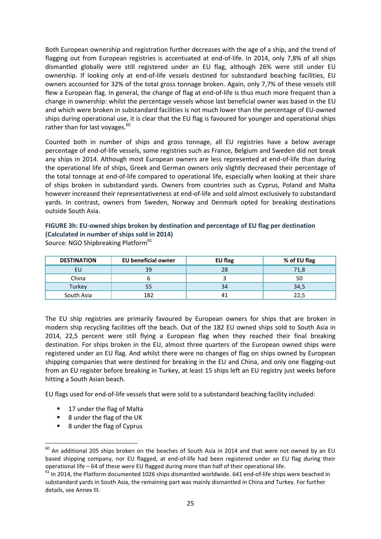Both European ownership and registration further decreases with the age of a ship, and the trend of flagging out from European registries is accentuated at end-of-life. In 2014, only 7,8% of all ships dismantled globally were still registered under an EU flag, although 26% were still under EU ownership. If looking only at end-of-life vessels destined for substandard beaching facilities, EU owners accounted for 32% of the total gross tonnage broken. Again, only 7,7% of these vessels still flew a European flag. In general, the change of flag at end-of-life is thus much more frequent than a change in ownership: whilst the percentage vessels whose last beneficial owner was based in the EU and which were broken in substandard facilities is not much lower than the percentage of EU-owned ships during operational use, it is clear that the EU flag is favoured for younger and operational ships rather than for last voyages.<sup>60</sup>

Counted both in number of ships and gross tonnage, all EU registries have a below average percentage of end-of-life vessels, some registries such as France, Belgium and Sweden did not break any ships in 2014. Although most European owners are less represented at end-of-life than during the operational life of ships, Greek and German owners only slightly decreased their percentage of the total tonnage at end-of-life compared to operational life, especially when looking at their share of ships broken in substandard yards. Owners from countries such as Cyprus, Poland and Malta however increased their representativeness at end-of-life and sold almost exclusively to substandard yards. In contrast, owners from Sweden, Norway and Denmark opted for breaking destinations outside South Asia.

**FIGURE 3h: EU-owned ships broken by destination and percentage of EU flag per destination (Calculated in number of ships sold in 2014)**

| <b>DESTINATION</b> | <b>EU beneficial owner</b> | EU flag | % of EU flag |
|--------------------|----------------------------|---------|--------------|
| EU                 | 39                         | 28      | 71,8         |
| China              |                            |         | 50           |
| Turkey             | 55                         | 34      | 34,5         |
| South Asia         | 182                        | 41      |              |

Source: NGO Shipbreaking Platform<sup>61</sup>

The EU ship registries are primarily favoured by European owners for ships that are broken in modern ship recycling facilities off the beach. Out of the 182 EU owned ships sold to South Asia in 2014, 22,5 percent were still flying a European flag when they reached their final breaking destination. For ships broken in the EU, almost three quarters of the European owned ships were registered under an EU flag. And whilst there were no changes of flag on ships owned by European shipping companies that were destined for breaking in the EU and China, and only one flagging-out from an EU register before breaking in Turkey, at least 15 ships left an EU registry just weeks before hitting a South Asian beach.

EU flags used for end-of-life vessels that were sold to a substandard beaching facility included:

- 17 under the flag of Malta
- 8 under the flag of the UK
- 8 under the flag of Cyprus

 $^{60}$  An additional 205 ships broken on the beaches of South Asia in 2014 and that were not owned by an EU based shipping company, nor EU flagged, at end-of-life had been registered under an EU flag during their operational life – 64 of these were EU flagged during more than half of their operational life.

 $61$  In 2014, the Platform documented 1026 ships dismantled worldwide. 641 end-of-life ships were beached in substandard yards in South Asia, the remaining part was mainly dismantled in China and Turkey. For further details, see Annex III.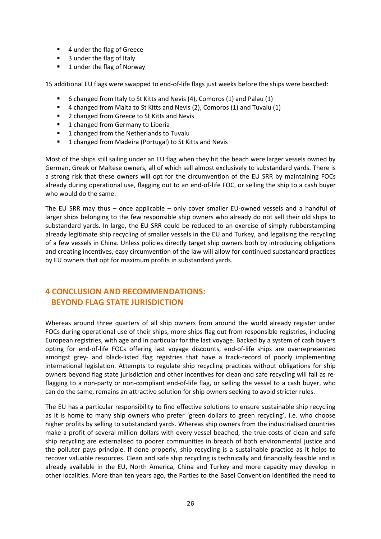- 4 under the flag of Greece
- 3 under the flag of Italy
- 1 under the flag of Norway

15 additional EU flags were swapped to end-of-life flags just weeks before the ships were beached:

- 6 changed from Italy to St Kitts and Nevis (4), Comoros (1) and Palau (1)
- 4 changed from Malta to St Kitts and Nevis (2), Comoros (1) and Tuvalu (1)
- 2 changed from Greece to St Kitts and Nevis
- 1 changed from Germany to Liberia
- **1** changed from the Netherlands to Tuvalu
- 1 changed from Madeira (Portugal) to St Kitts and Nevis

Most of the ships still sailing under an EU flag when they hit the beach were larger vessels owned by German, Greek or Maltese owners, all of which sell almost exclusively to substandard yards. There is a strong risk that these owners will opt for the circumvention of the EU SRR by maintaining FOCs already during operational use, flagging out to an end-of-life FOC, or selling the ship to a cash buyer who would do the same.

The EU SRR may thus – once applicable – only cover smaller EU-owned vessels and a handful of larger ships belonging to the few responsible ship owners who already do not sell their old ships to substandard yards. In large, the EU SRR could be reduced to an exercise of simply rubberstamping already legitimate ship recycling of smaller vessels in the EU and Turkey, and legalising the recycling of a few vessels in China. Unless policies directly target ship owners both by introducing obligations and creating incentives, easy circumvention of the law will allow for continued substandard practices by EU owners that opt for maximum profits in substandard yards.

## **4 CONCLUSION AND RECOMMENDATIONS: BEYOND FLAG STATE JURISDICTION**

Whereas around three quarters of all ship owners from around the world already register under FOCs during operational use of their ships, more ships flag out from responsible registries, including European registries, with age and in particular for the last voyage. Backed by a system of cash buyers opting for end-of-life FOCs offering last voyage discounts, end-of-life ships are overrepresented amongst grey- and black-listed flag registries that have a track-record of poorly implementing international legislation. Attempts to regulate ship recycling practices without obligations for ship owners beyond flag state jurisdiction and other incentives for clean and safe recycling will fail as reflagging to a non-party or non-compliant end-of-life flag, or selling the vessel to a cash buyer, who can do the same, remains an attractive solution for ship owners seeking to avoid stricter rules.

The EU has a particular responsibility to find effective solutions to ensure sustainable ship recycling as it is home to many ship owners who prefer 'green dollars to green recycling', i.e. who choose higher profits by selling to substandard yards. Whereas ship owners from the industrialised countries make a profit of several million dollars with every vessel beached, the true costs of clean and safe ship recycling are externalised to poorer communities in breach of both environmental justice and the polluter pays principle. If done properly, ship recycling is a sustainable practice as it helps to recover valuable resources. Clean and safe ship recycling is technically and financially feasible and is already available in the EU, North America, China and Turkey and more capacity may develop in other localities. More than ten years ago, the Parties to the Basel Convention identified the need to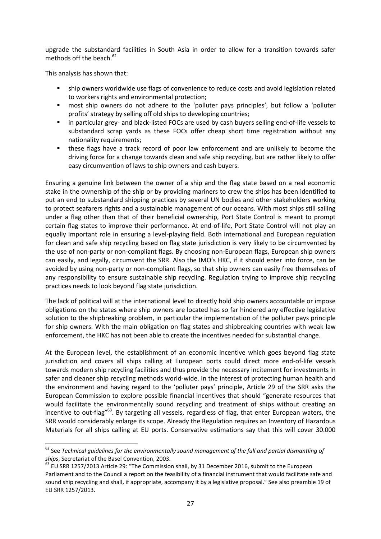upgrade the substandard facilities in South Asia in order to allow for a transition towards safer methods off the beach. $62$ 

This analysis has shown that:

 $\ddot{\phantom{a}}$ 

- ship owners worldwide use flags of convenience to reduce costs and avoid legislation related to workers rights and environmental protection;
- most ship owners do not adhere to the 'polluter pays principles', but follow a 'polluter profits' strategy by selling off old ships to developing countries;
- in particular grey- and black-listed FOCs are used by cash buyers selling end-of-life vessels to substandard scrap yards as these FOCs offer cheap short time registration without any nationality requirements;
- these flags have a track record of poor law enforcement and are unlikely to become the driving force for a change towards clean and safe ship recycling, but are rather likely to offer easy circumvention of laws to ship owners and cash buyers.

Ensuring a genuine link between the owner of a ship and the flag state based on a real economic stake in the ownership of the ship or by providing mariners to crew the ships has been identified to put an end to substandard shipping practices by several UN bodies and other stakeholders working to protect seafarers rights and a sustainable management of our oceans. With most ships still sailing under a flag other than that of their beneficial ownership, Port State Control is meant to prompt certain flag states to improve their performance. At end-of-life, Port State Control will not play an equally important role in ensuring a level-playing field. Both international and European regulation for clean and safe ship recycling based on flag state jurisdiction is very likely to be circumvented by the use of non-party or non-compliant flags. By choosing non-European flags, European ship owners can easily, and legally, circumvent the SRR. Also the IMO's HKC, if it should enter into force, can be avoided by using non-party or non-compliant flags, so that ship owners can easily free themselves of any responsibility to ensure sustainable ship recycling. Regulation trying to improve ship recycling practices needs to look beyond flag state jurisdiction.

The lack of political will at the international level to directly hold ship owners accountable or impose obligations on the states where ship owners are located has so far hindered any effective legislative solution to the shipbreaking problem, in particular the implementation of the polluter pays principle for ship owners. With the main obligation on flag states and shipbreaking countries with weak law enforcement, the HKC has not been able to create the incentives needed for substantial change.

At the European level, the establishment of an economic incentive which goes beyond flag state jurisdiction and covers all ships calling at European ports could direct more end-of-life vessels towards modern ship recycling facilities and thus provide the necessary incitement for investments in safer and cleaner ship recycling methods world-wide. In the interest of protecting human health and the environment and having regard to the 'polluter pays' principle, Article 29 of the SRR asks the European Commission to explore possible financial incentives that should "generate resources that would facilitate the environmentally sound recycling and treatment of ships without creating an incentive to out-flag<sup>"63</sup>. By targeting all vessels, regardless of flag, that enter European waters, the SRR would considerably enlarge its scope. Already the Regulation requires an Inventory of Hazardous Materials for all ships calling at EU ports. Conservative estimations say that this will cover 30.000

<sup>62</sup> See *Technical guidelines for the environmentally sound management of the full and partial dismantling of ships*, Secretariat of the Basel Convention, 2003.

<sup>&</sup>lt;sup>63</sup> EU SRR 1257/2013 Article 29: "The Commission shall, by 31 December 2016, submit to the European Parliament and to the Council a report on the feasibility of a financial instrument that would facilitate safe and sound ship recycling and shall, if appropriate, accompany it by a legislative proposal." See also preamble 19 of EU SRR 1257/2013.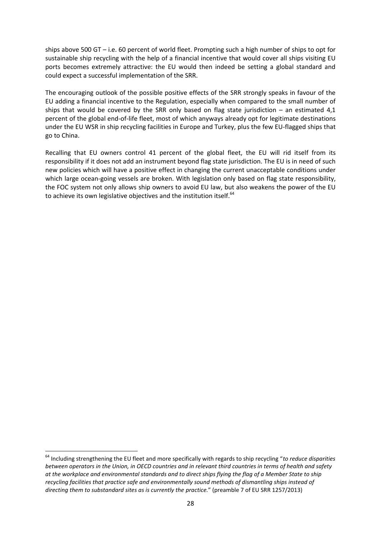ships above 500 GT – i.e. 60 percent of world fleet. Prompting such a high number of ships to opt for sustainable ship recycling with the help of a financial incentive that would cover all ships visiting EU ports becomes extremely attractive: the EU would then indeed be setting a global standard and could expect a successful implementation of the SRR.

The encouraging outlook of the possible positive effects of the SRR strongly speaks in favour of the EU adding a financial incentive to the Regulation, especially when compared to the small number of ships that would be covered by the SRR only based on flag state jurisdiction  $-$  an estimated 4,1 percent of the global end-of-life fleet, most of which anyways already opt for legitimate destinations under the EU WSR in ship recycling facilities in Europe and Turkey, plus the few EU-flagged ships that go to China.

Recalling that EU owners control 41 percent of the global fleet, the EU will rid itself from its responsibility if it does not add an instrument beyond flag state jurisdiction. The EU is in need of such new policies which will have a positive effect in changing the current unacceptable conditions under which large ocean-going vessels are broken. With legislation only based on flag state responsibility, the FOC system not only allows ship owners to avoid EU law, but also weakens the power of the EU to achieve its own legislative objectives and the institution itself.<sup>64</sup>

 $\overline{a}$ 

<sup>64</sup> Including strengthening the EU fleet and more specifically with regards to ship recycling "*to reduce disparities between operators in the Union, in OECD countries and in relevant third countries in terms of health and safety at the workplace and environmental standards and to direct ships flying the flag of a Member State to ship recycling facilities that practice safe and environmentally sound methods of dismantling ships instead of directing them to substandard sites as is currently the practice.*" (preamble 7 of EU SRR 1257/2013)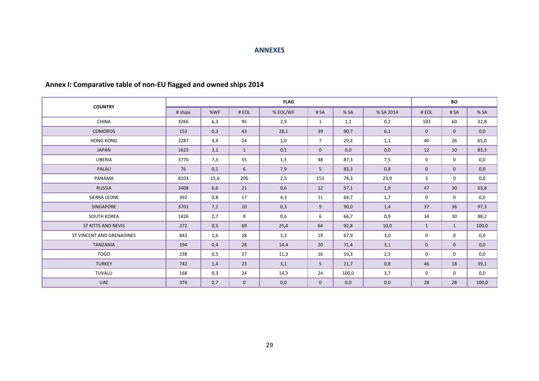#### **ANNEXES**

|                           |         |      |              | <b>FLAG</b> |                |       |           | <b>BO</b>    |                 |       |  |
|---------------------------|---------|------|--------------|-------------|----------------|-------|-----------|--------------|-----------------|-------|--|
| <b>COUNTRY</b>            | # ships | %WF  | # EOL        | % EOL/WF    | # SA           | %SA   | % SA 2014 | # EOL        | # SA            | % SA  |  |
| <b>CHINA</b>              | 3266    | 6,3  | 95           | 2,9         | $\mathbf{1}$   | 1,1   | 0,2       | 183          | 60              | 32,8  |  |
| <b>COMOROS</b>            | 153     | 0,3  | 43           | 28,1        | 39             | 90,7  | 6,1       | $\mathbf{0}$ | $\mathbf{0}$    | 0,0   |  |
| <b>HONG KONG</b>          | 2287    | 4,4  | 24           | 1,0         | $\overline{7}$ | 29,2  | 1,1       | 40           | 26              | 65,0  |  |
| <b>JAPAN</b>              | 1623    | 3,1  | $\mathbf{1}$ | 0,1         | $\mathbf{0}$   | 0,0   | 0,0       | 12           | 10              | 83,3  |  |
| LIBERIA                   | 3770    | 7,3  | 55           | 1,5         | 48             | 87,3  | 7,5       | $\mathbf 0$  | $\mathbf 0$     | 0,0   |  |
| PALAU                     | 76      | 0,1  | 6            | 7,9         | 5              | 83,3  | 0,8       | $\mathbf{0}$ | $\mathbf 0$     | 0,0   |  |
| PANAMA                    | 8103    | 15,6 | 206          | 2,5         | 153            | 74,3  | 23,9      | 3            | $\mathbf 0$     | 0,0   |  |
| <b>RUSSIA</b>             | 3408    | 6,6  | 21           | 0,6         | 12             | 57,1  | 1,9       | 47           | 30 <sup>°</sup> | 63,8  |  |
| SIERRA LEONE              | 392     | 0,8  | 17           | 4,3         | 11             | 64,7  | 1,7       | $\mathbf 0$  | $\mathbf 0$     | 0,0   |  |
| SINGAPORE                 | 3701    | 7,1  | 10           | 0,3         | 9              | 90,0  | 1,4       | 37           | 36              | 97,3  |  |
| <b>SOUTH KOREA</b>        | 1426    | 2,7  | 9            | 0,6         | 6              | 66,7  | 0,9       | 34           | 30              | 88,2  |  |
| ST KITTS AND NEVIS        | 272     | 0,5  | 69           | 25,4        | 64             | 92,8  | 10,0      | $\mathbf{1}$ | $\mathbf{1}$    | 100,0 |  |
| ST VINCENT AND GRENADINES | 843     | 1,6  | 28           | 3,3         | 19             | 67,9  | 3,0       | 0            | 0               | 0,0   |  |
| <b>TANZANIA</b>           | 194     | 0,4  | 28           | 14,4        | 20             | 71,4  | 3,1       | $\mathbf 0$  | $\mathbf 0$     | 0,0   |  |
| <b>TOGO</b>               | 238     | 0,5  | 27           | 11,3        | 16             | 59,3  | 2,5       | $\mathbf 0$  | $\mathbf 0$     | 0,0   |  |
| <b>TURKEY</b>             | 742     | 1,4  | 23           | 3,1         | 5              | 21,7  | 0,8       | 46           | 18              | 39,1  |  |
| <b>TUVALU</b>             | 168     | 0,3  | 24           | 14,3        | 24             | 100,0 | 3,7       | $\mathbf 0$  | $\mathbf 0$     | 0,0   |  |
| UAE                       | 374     | 0,7  | $\mathbf{0}$ | 0,0         | $\mathbf{0}$   | 0,0   | 0,0       | 28           | 28              | 100,0 |  |

## **Annex I: Comparative table of non-EU flagged and owned ships 2014**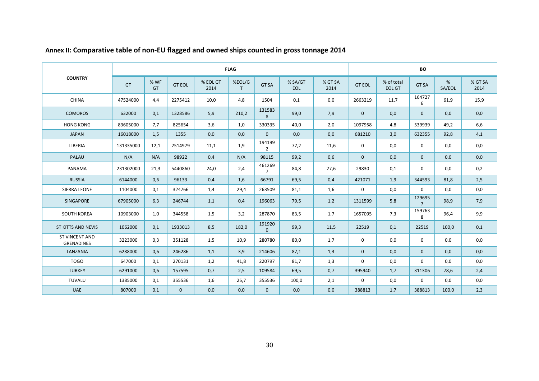|                                            |                |                   |               |                  | <b>FLAG</b>            |                          |                       |                 | BO            |                             |                          |             |                 |  |
|--------------------------------------------|----------------|-------------------|---------------|------------------|------------------------|--------------------------|-----------------------|-----------------|---------------|-----------------------------|--------------------------|-------------|-----------------|--|
| <b>COUNTRY</b>                             | GT             | % WF<br><b>GT</b> | <b>GT EOL</b> | % EOL GT<br>2014 | %EOL/G<br>$\mathsf{T}$ | <b>GT SA</b>             | % SA/GT<br><b>EOL</b> | % GT SA<br>2014 | <b>GT EOL</b> | % of total<br><b>EOL GT</b> | <b>GT SA</b>             | %<br>SA/EOL | % GT SA<br>2014 |  |
| <b>CHINA</b>                               | 47524000       | 4,4<br>2275412    |               | 10,0             | 4,8                    | 1504                     | 0,1                   | 0,0             | 2663219       | 11,7                        | 164727<br>6              | 61,9        | 15,9            |  |
| <b>COMOROS</b>                             | 632000         | 0,1               | 1328586       | 5,9              | 210,2                  | 131583<br>8              | 99,0                  | 7,9             | $\mathbf{0}$  | 0,0                         | $\mathbf{0}$             | 0,0         | 0,0             |  |
| <b>HONG KONG</b>                           | 83605000       | 7,7               | 825654        | 3,6              | 1,0                    | 330335                   | 40,0                  | 2,0             | 1097958       | 4,8                         | 539939                   | 49,2        | 6,6             |  |
| <b>JAPAN</b>                               | 16018000       | 1,5               | 1355          | 0,0              | 0,0                    | $\mathbf{0}$             | 0,0                   | 0,0             | 681210        | 3,0                         | 632355                   | 92,8        | 4,1             |  |
| LIBERIA                                    | 131335000      | 12,1              | 2514979       | 11,1             | 1,9                    | 194199<br>$\overline{2}$ | 77,2                  | 11,6            | $\mathbf 0$   | 0,0                         | $\mathbf 0$              | 0,0         | 0,0             |  |
| PALAU                                      | N/A            | N/A               | 98922         | 0,4              | N/A                    | 98115                    | 99,2                  | 0,6             | $\mathbf{0}$  | 0,0                         | $\mathbf{0}$             | 0,0         | 0,0             |  |
| PANAMA                                     | 231302000      | 21,3              | 5440860       | 24,0             | 2,4                    | 461269<br>$\overline{7}$ | 84,8                  | 27,6            | 29830         | 0,1                         | 0                        | 0,0         | 0,2             |  |
| <b>RUSSIA</b>                              | 6144000        | 0,6               | 96133         | 0,4              | 1,6                    | 66791                    | 69,5                  | 0,4             | 421071        | 1,9                         | 344593                   | 81,8        | 2,5             |  |
| <b>SIERRA LEONE</b>                        | 1104000        | 0,1               | 324766        | 1,4              | 29,4                   | 263509                   | 81,1                  | 1,6             | $\mathbf 0$   | 0,0                         | $\mathbf 0$              | 0,0         | 0,0             |  |
| <b>SINGAPORE</b>                           | 67905000       | 6,3               | 246744        | 1,1              | 0,4                    | 196063                   | 79,5                  | 1,2             | 1311599       | 5,8                         | 129695<br>$\overline{7}$ | 98,9        | 7,9             |  |
| <b>SOUTH KOREA</b>                         | 10903000       | 1,0               | 344558        | 1,5              | 3,2                    | 287870                   | 83,5                  | 1,7             | 1657095       | 7,3                         | 159763<br>8              | 96,4        | 9,9             |  |
| ST KITTS AND NEVIS                         | 1062000        | 0,1               | 1933013       | 8,5              | 182,0                  | 191920<br>$\Omega$       | 99,3                  | 11,5            | 22519         | 0,1                         | 22519                    | 100,0       | 0,1             |  |
| <b>ST VINCENT AND</b><br><b>GRENADINES</b> | 3223000        | 0,3               | 351128        | 1,5              | 10,9                   | 280780                   | 80,0                  | 1,7             | $\mathbf 0$   | 0,0                         | 0                        | 0,0         | 0,0             |  |
| <b>TANZANIA</b>                            | 6288000        | 0,6               | 246286        | 1,1              | 3,9                    | 214606                   | 87,1                  | 1,3             | $\mathbf 0$   | 0,0                         | $\mathbf{0}$             | 0,0         | 0,0             |  |
| <b>TOGO</b>                                | 647000         | 0,1               | 270131        | 1,2              | 41,8                   | 220797                   | 81,7                  | 1,3             | $\mathbf 0$   | 0,0                         | $\mathbf 0$              | 0,0         | 0,0             |  |
| <b>TURKEY</b>                              | 0,6<br>6291000 |                   | 157595        | 0,7              | 2,5                    | 109584                   | 69,5                  | 0,7             | 395940        | 1,7                         | 311306                   | 78,6        | 2,4             |  |
| TUVALU                                     | 1385000        | 0,1               | 355536        | 1,6              | 25,7                   | 355536                   | 100,0                 | 2,1             | $\mathbf 0$   | 0,0                         | $\mathbf 0$              | 0,0         | 0,0             |  |
| <b>UAE</b>                                 | 807000         | 0,1               | $\mathbf{0}$  | 0,0              | 0,0                    | $\mathbf{0}$             | 0,0                   | 0,0             | 388813        | 1,7                         | 388813                   | 100,0       | 2,3             |  |

**Annex II: Comparative table of non-EU flagged and owned ships counted in gross tonnage 2014**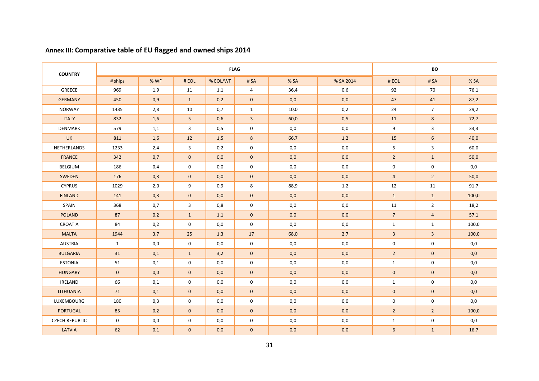| <b>COUNTRY</b>        |              |      |                |          | <b>BO</b>      |                            |           |                 |                |       |
|-----------------------|--------------|------|----------------|----------|----------------|----------------------------|-----------|-----------------|----------------|-------|
|                       | # ships      | % WF | #EOL           | % EOL/WF | #SA            | % SA                       | % SA 2014 | #EOL            | # SA           | % SA  |
| <b>GREECE</b>         | 969          | 1,9  | 11             | 1,1      | $\overline{4}$ | 36,4                       | 0,6       | 92              | 70             | 76,1  |
| <b>GERMANY</b>        | 450          | 0,9  | $\mathbf{1}$   | 0,2      | $\mathbf{0}$   | 0,0                        | 0,0       | 47              | 41             | 87,2  |
| <b>NORWAY</b>         | 1435         | 2,8  | 10             | 0,7      | 1              | 10,0                       | 0,2<br>24 |                 | $\overline{7}$ | 29,2  |
| <b>ITALY</b>          | 832          | 1,6  | 5 <sup>5</sup> | 0,6      | $\overline{3}$ | 60,0                       | 0,5       | 11              | 8              | 72,7  |
| <b>DENMARK</b>        | 579          | 1,1  | 3              | 0,5      | 0              | 0,0                        | 0,0       | 9               | 3              | 33,3  |
| <b>UK</b>             | 811          | 1,6  | 12             | 1,5      | 8              | 66,7                       | 1,2       | 15              | 6              | 40,0  |
| NETHERLANDS           | 1233         | 2,4  | 3              | 0,2      | $\mathbf 0$    | 0,0                        | 0,0       | 5               | $\overline{3}$ | 60,0  |
| <b>FRANCE</b>         | 342          | 0,7  | $\mathbf{0}$   | 0,0      | $\mathbf{0}$   | 0,0                        | 0,0       | $2^{\circ}$     | $\mathbf{1}$   | 50,0  |
| <b>BELGIUM</b>        | 186          | 0,4  | $\mathbf 0$    | 0,0      | $\mathbf 0$    | 0,0                        | 0,0       | 0               | $\mathbf 0$    | 0,0   |
| SWEDEN                | 176          | 0,3  | $\mathbf{0}$   | 0,0      | $\mathbf{0}$   | 0,0                        | 0,0       | $\overline{4}$  | $\overline{2}$ | 50,0  |
| <b>CYPRUS</b>         | 1029         | 2,0  | 9              | 0,9      | 8              | 88,9                       | 1,2       | 12              | 11             | 91,7  |
| <b>FINLAND</b>        | 141          | 0,3  | $\mathbf{0}$   | 0,0      | $\mathbf{0}$   | 0,0                        | 0,0       | $\mathbf{1}$    | $\mathbf{1}$   | 100,0 |
| SPAIN                 | 368          | 0,7  | 3              | 0,8      | $\mathbf 0$    | 0,0                        | 0,0       | 11              | $\overline{2}$ | 18,2  |
| <b>POLAND</b>         | 87           | 0,2  | $\mathbf{1}$   | 1,1      | $\mathbf{0}$   | 0,0                        | 0,0       | $7\overline{ }$ | $\overline{4}$ | 57,1  |
| <b>CROATIA</b>        | 84           | 0,2  | $\mathbf 0$    | 0,0      | $\mathbf 0$    | 0,0                        | 0,0       | $\mathbf{1}$    | $\mathbf{1}$   | 100,0 |
| <b>MALTA</b>          | 1944         | 3,7  | 25             | 1,3      | 17             | 68,0                       | 2,7       | $\overline{3}$  | $\overline{3}$ | 100,0 |
| <b>AUSTRIA</b>        | 1            | 0,0  | 0              | 0,0      | $\mathbf 0$    | 0,0                        | 0,0       | 0               | 0              | 0,0   |
| <b>BULGARIA</b>       | 31           | 0,1  | $\mathbf{1}$   | 3,2      | $\mathbf{0}$   | 0,0                        | 0,0       | $\overline{2}$  | $\mathbf{0}$   | 0,0   |
| <b>ESTONIA</b>        | 51           | 0,1  | $\mathbf 0$    | 0,0      | $\mathbf 0$    | 0,0                        | 0,0       | $\mathbf{1}$    | $\mathbf 0$    | 0,0   |
| <b>HUNGARY</b>        | $\mathbf{0}$ | 0,0  | $\mathbf{0}$   | 0,0      | $\mathbf{0}$   | 0,0                        | 0,0       | $\mathbf{0}$    | $\mathbf{0}$   | 0,0   |
| <b>IRELAND</b>        | 66           | 0,1  | $\mathbf{0}$   | 0,0      | $\mathbf 0$    | 0,0                        | 0,0       | $\mathbf{1}$    | $\mathbf 0$    | 0,0   |
| <b>LITHUANIA</b>      | 71           | 0,1  | $\mathbf{0}$   | 0,0      | $\mathbf{0}$   | 0,0                        | 0,0       | $\mathbf{0}$    | $\mathbf 0$    | 0,0   |
| LUXEMBOURG            | 180          | 0,3  | $\mathbf 0$    | 0,0      | $\mathbf 0$    | 0,0                        | 0,0       | 0               | 0              | 0,0   |
| <b>PORTUGAL</b>       | 85           | 0,2  | $\mathbf{0}$   | 0,0      | $\mathbf{0}$   | 0,0                        | 0,0       | $2^{\circ}$     | $\overline{2}$ | 100,0 |
| <b>CZECH REPUBLIC</b> | $\mathbf 0$  | 0,0  | $\mathbf 0$    | 0,0      | $\mathbf 0$    | 0,0<br>0,0<br>$\mathbf{1}$ |           | $\mathbf 0$     | 0,0            |       |
| <b>LATVIA</b>         | 62           | 0,1  | $\mathbf{0}$   | 0,0      | $\mathbf{0}$   | 0,0                        | 0,0       | 6               | $\mathbf{1}$   | 16,7  |

## **Annex III: Comparative table of EU flagged and owned ships 2014**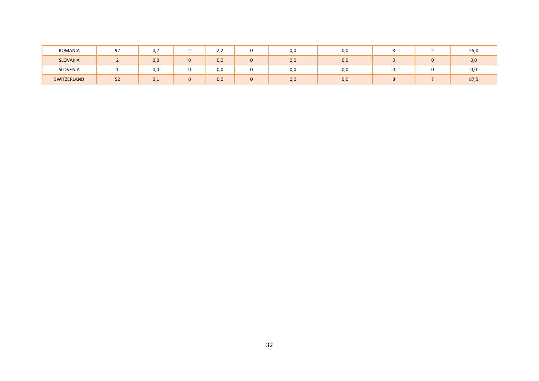| ROMANIA         | 92           | $\cap$<br>v,z | ے رے |   | U,U | U,U |  | 25,0 |
|-----------------|--------------|---------------|------|---|-----|-----|--|------|
| <b>SLOVAKIA</b> |              | 0,0           | 0,0  | υ | 0,0 | 0,0 |  | 0,0  |
| SLOVENIA        |              | 0,0           | 0,0  |   | U,U | U,U |  | 0,0  |
| SWITZERLAND     | $\sim$<br>ےر | 0,1           | 0,0  | υ | 0,0 | 0,0 |  | 87,5 |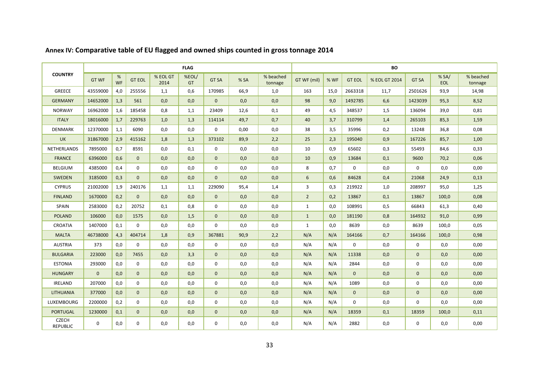|                                 | <b>FLAG</b>    |                |               |                  |                    |              |                  |                      | BO              |      |               |               |              |                    |                      |
|---------------------------------|----------------|----------------|---------------|------------------|--------------------|--------------|------------------|----------------------|-----------------|------|---------------|---------------|--------------|--------------------|----------------------|
| <b>COUNTRY</b>                  | <b>GT WF</b>   | %<br><b>WF</b> | <b>GT EOL</b> | % EOL GT<br>2014 | %EOL/<br><b>GT</b> | <b>GT SA</b> | %SA              | % beached<br>tonnage | GT WF (mil)     | % WF | <b>GT EOL</b> | % EOL GT 2014 | <b>GT SA</b> | %SA/<br><b>EOL</b> | % beached<br>tonnage |
| <b>GREECE</b>                   | 43559000       | 4,0            | 255556        | 1,1              | 0,6                | 170985       | 66,9             | 1,0                  | 163             | 15,0 | 2663318       | 11,7          | 2501626      | 93,9               | 14,98                |
| <b>GERMANY</b>                  | 14652000       | 1,3            | 561           | 0,0              | 0,0                | $\Omega$     | 0.0              | 0,0                  | 98              | 9,0  | 1492785       | 6,6           | 1423039      | 95,3               | 8,52                 |
| <b>NORWAY</b>                   | 16962000       | 1,6            | 185458        | 0,8              | 1,1                | 23409        | 12,6             | 0,1                  | 49              | 4,5  | 348537        | 1,5           | 136094       | 39,0               | 0,81                 |
| <b>ITALY</b>                    | 18016000       | 1,7            | 229763        | 1,0              | 1,3                | 114114       | 49,7             | 0,7                  | 40              | 3,7  | 310799        | 1,4           | 265103       | 85,3               | 1,59                 |
| <b>DENMARK</b>                  | 12370000       | 1,1            | 6090          | 0,0              | 0,0                | $\mathbf 0$  | 0,00             | 0,0                  | 38              | 3,5  | 35996         | 0,2           | 13248        | 36,8               | 0,08                 |
| <b>UK</b>                       | 31867000       | 2,9            | 415162        | 1,8              | 1,3                | 373102       | 89,9             | 2,2                  | 25              | 2,3  | 195040        | 0,9           | 167226       | 85,7               | 1,00                 |
| NETHERLANDS                     | 7895000        | 0,7            | 8591          | 0,0              | 0,1                | $\mathbf 0$  | 0,0              | 0,0                  | 10              | 0,9  | 65602         | 0,3           | 55493        | 84,6               | 0,33                 |
| <b>FRANCE</b>                   | 6396000        | 0,6            | $\mathbf{0}$  | 0,0              | 0,0                | $\Omega$     | 0.0 <sub>1</sub> | 0,0                  | 10              | 0,9  | 13684         | 0,1           | 9600         | 70,2               | 0,06                 |
| <b>BELGIUM</b>                  | 4385000        | 0,4            | $\mathbf 0$   | 0,0              | 0,0                | $\mathbf 0$  | 0,0              | 0,0                  | 8               | 0,7  | $\mathbf 0$   | 0,0           | $\mathbf 0$  | 0,0                | 0,00                 |
| SWEDEN                          | 3185000        | 0,3            | $\mathbf{0}$  | 0,0              | 0,0                | $\Omega$     | 0,0              | 0,0                  | $6\overline{6}$ | 0,6  | 84628         | 0,4           | 21068        | 24,9               | 0,13                 |
| <b>CYPRUS</b>                   | 21002000       | 1,9            | 240176        | 1,1              | 1,1                | 229090       | 95,4             | 1,4                  | 3               | 0,3  | 219922        | 1,0           | 208997       | 95,0               | 1,25                 |
| <b>FINLAND</b>                  | 1670000        | 0,2            | $\mathbf{0}$  | 0,0              | 0,0                | $\mathbf{0}$ | 0,0              | 0,0                  | $\overline{2}$  | 0,2  | 13867         | 0,1           | 13867        | 100,0              | 0,08                 |
| SPAIN                           | 2583000        | 0,2            | 20752         | 0,1              | 0,8                | $\mathbf 0$  | 0,0              | 0,0                  | $\mathbf{1}$    | 0,0  | 108991        | 0,5           | 66843        | 61,3               | 0,40                 |
| <b>POLAND</b>                   | 106000         | 0,0            | 1575          | 0,0              | 1,5                | $\mathbf{0}$ | 0,0              | 0,0                  | $\mathbf{1}$    | 0,0  | 181190        | 0,8           | 164932       | 91,0               | 0,99                 |
| <b>CROATIA</b>                  | 1407000        | 0,1            | $\mathbf{0}$  | 0,0              | 0,0                | $\Omega$     | 0,0              | 0,0                  | $\mathbf{1}$    | 0,0  | 8639          | 0,0           | 8639         | 100,0              | 0,05                 |
| <b>MALTA</b>                    | 46738000       | 4,3            | 404714        | 1,8              | 0,9                | 367881       | 90,9             | 2,2                  | N/A             | N/A  | 164166        | 0,7           | 164166       | 100,0              | 0,98                 |
| <b>AUSTRIA</b>                  | 373            | 0,0            | $\mathbf 0$   | 0,0              | 0,0                | $\mathbf 0$  | 0,0              | 0,0                  | N/A             | N/A  | $\mathbf 0$   | 0,0           | $\mathbf 0$  | 0,0                | 0,00                 |
| <b>BULGARIA</b>                 | 223000         | 0,0            | 7455          | 0,0              | 3,3                | $\mathbf{0}$ | 0.0              | 0,0                  | N/A             | N/A  | 11338         | 0,0           | $\mathbf{0}$ | 0,0                | 0,00                 |
| <b>ESTONIA</b>                  | 293000         | 0,0            | $\mathbf 0$   | 0,0              | 0,0                | $\mathbf 0$  | 0.0              | 0,0                  | N/A             | N/A  | 2844          | 0,0           | $\mathbf 0$  | 0,0                | 0,00                 |
| <b>HUNGARY</b>                  | $\overline{0}$ | 0,0            | $\mathbf{0}$  | 0,0              | 0,0                | $\mathbf{0}$ | 0,0              | 0,0                  | N/A             | N/A  | $\mathbf{0}$  | 0,0           | $\mathbf{0}$ | 0,0                | 0,00                 |
| <b>IRELAND</b>                  | 207000         | 0,0            | $\Omega$      | 0,0              | 0,0                | $\Omega$     | 0.0              | 0,0                  | N/A             | N/A  | 1089          | 0,0           | $\Omega$     | 0,0                | 0,00                 |
| <b>LITHUANIA</b>                | 377000         | 0,0            | $\mathbf{0}$  | 0,0              | 0,0                | $\mathbf{0}$ | 0,0              | 0,0                  | N/A             | N/A  | $\mathbf{0}$  | 0,0           | $\Omega$     | 0,0                | 0,00                 |
| LUXEMBOURG                      | 2200000        | 0,2            | 0             | 0,0              | 0,0                | $\mathbf 0$  | 0,0              | 0,0                  | N/A             | N/A  | $\mathbf 0$   | 0,0           | $\mathbf 0$  | 0,0                | 0,00                 |
| <b>PORTUGAL</b>                 | 1230000        | 0,1            | $\mathbf{0}$  | 0,0              | 0,0                | $\mathbf 0$  | 0,0              | 0,0                  | N/A             | N/A  | 18359         | 0,1           | 18359        | 100,0              | 0,11                 |
| <b>CZECH</b><br><b>REPUBLIC</b> | 0              | 0,0            | $\mathbf 0$   | 0,0              | 0,0                | $\mathbf 0$  | 0,0              | 0,0                  | N/A             | N/A  | 2882          | 0,0           | $\mathbf 0$  | 0,0                | 0,00                 |

## **Annex IV: Comparative table of EU flagged and owned ships counted in gross tonnage 2014**